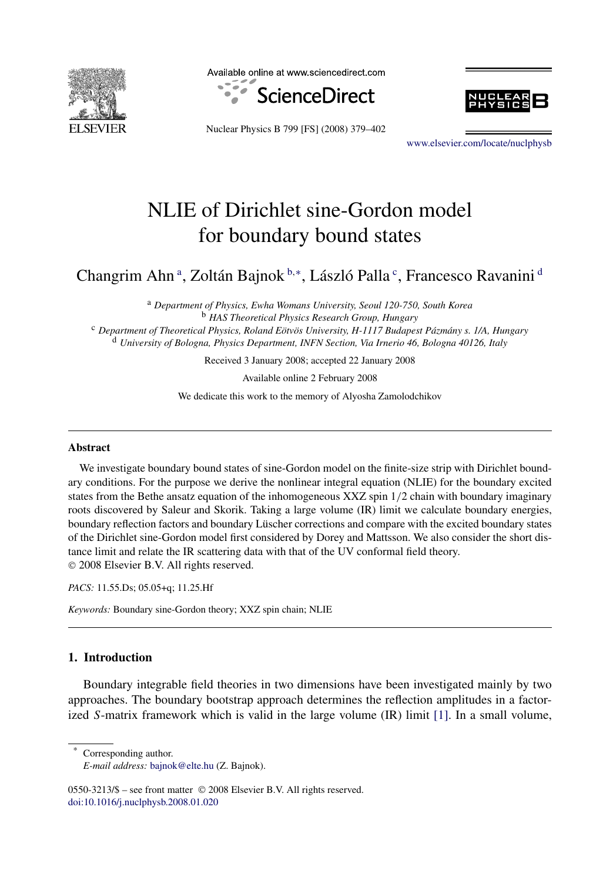

Available online at www.sciencedirect.com





Nuclear Physics B 799 [FS] (2008) 379–402

[www.elsevier.com/locate/nuclphysb](http://www.elsevier.com/locate/nuclphysb)

# NLIE of Dirichlet sine-Gordon model for boundary bound states

Changrim Ahn<sup>a</sup>, Zoltán Bajnok<sup>b,∗</sup>, László Palla<sup>c</sup>, Francesco Ravanini<sup>d</sup>

<sup>a</sup> *Department of Physics, Ewha Womans University, Seoul 120-750, South Korea* <sup>b</sup> *HAS Theoretical Physics Research Group, Hungary* <sup>c</sup> *Department of Theoretical Physics, Roland Eötvös University, H-1117 Budapest Pázmány s. 1/A, Hungary* <sup>d</sup> *University of Bologna, Physics Department, INFN Section, Via Irnerio 46, Bologna 40126, Italy*

Received 3 January 2008; accepted 22 January 2008

Available online 2 February 2008

We dedicate this work to the memory of Alyosha Zamolodchikov

#### **Abstract**

We investigate boundary bound states of sine-Gordon model on the finite-size strip with Dirichlet boundary conditions. For the purpose we derive the nonlinear integral equation (NLIE) for the boundary excited states from the Bethe ansatz equation of the inhomogeneous XXZ spin 1*/*2 chain with boundary imaginary roots discovered by Saleur and Skorik. Taking a large volume (IR) limit we calculate boundary energies, boundary reflection factors and boundary Lüscher corrections and compare with the excited boundary states of the Dirichlet sine-Gordon model first considered by Dorey and Mattsson. We also consider the short distance limit and relate the IR scattering data with that of the UV conformal field theory. © 2008 Elsevier B.V. All rights reserved.

*PACS:* 11.55.Ds; 05.05+q; 11.25.Hf

*Keywords:* Boundary sine-Gordon theory; XXZ spin chain; NLIE

# **1. Introduction**

Boundary integrable field theories in two dimensions have been investigated mainly by two approaches. The boundary bootstrap approach determines the reflection amplitudes in a factorized *S*-matrix framework which is valid in the large volume (IR) limit [\[1\].](#page-23-0) In a small volume,

Corresponding author. *E-mail address:* [bajnok@elte.hu](mailto:bajnok@elte.hu) (Z. Bajnok).

0550-3213/\$ – see front matter © 2008 Elsevier B.V. All rights reserved. [doi:10.1016/j.nuclphysb.2008.01.020](http://dx.doi.org/10.1016/j.nuclphysb.2008.01.020)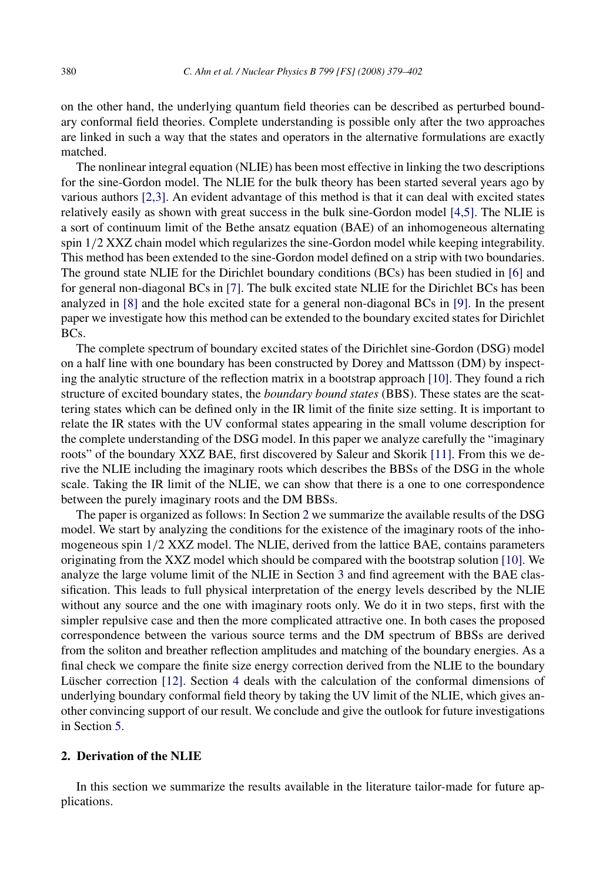on the other hand, the underlying quantum field theories can be described as perturbed boundary conformal field theories. Complete understanding is possible only after the two approaches are linked in such a way that the states and operators in the alternative formulations are exactly matched.

The nonlinear integral equation (NLIE) has been most effective in linking the two descriptions for the sine-Gordon model. The NLIE for the bulk theory has been started several years ago by various authors [\[2,3\].](#page-23-0) An evident advantage of this method is that it can deal with excited states relatively easily as shown with great success in the bulk sine-Gordon model [\[4,5\].](#page-23-0) The NLIE is a sort of continuum limit of the Bethe ansatz equation (BAE) of an inhomogeneous alternating spin 1*/*2 XXZ chain model which regularizes the sine-Gordon model while keeping integrability. This method has been extended to the sine-Gordon model defined on a strip with two boundaries. The ground state NLIE for the Dirichlet boundary conditions (BCs) has been studied in [\[6\]](#page-23-0) and for general non-diagonal BCs in [\[7\].](#page-23-0) The bulk excited state NLIE for the Dirichlet BCs has been analyzed in [\[8\]](#page-23-0) and the hole excited state for a general non-diagonal BCs in [\[9\].](#page-23-0) In the present paper we investigate how this method can be extended to the boundary excited states for Dirichlet BCs.

The complete spectrum of boundary excited states of the Dirichlet sine-Gordon (DSG) model on a half line with one boundary has been constructed by Dorey and Mattsson (DM) by inspecting the analytic structure of the reflection matrix in a bootstrap approach [\[10\].](#page-23-0) They found a rich structure of excited boundary states, the *boundary bound states* (BBS). These states are the scattering states which can be defined only in the IR limit of the finite size setting. It is important to relate the IR states with the UV conformal states appearing in the small volume description for the complete understanding of the DSG model. In this paper we analyze carefully the "imaginary roots" of the boundary XXZ BAE, first discovered by Saleur and Skorik [\[11\].](#page-23-0) From this we derive the NLIE including the imaginary roots which describes the BBSs of the DSG in the whole scale. Taking the IR limit of the NLIE, we can show that there is a one to one correspondence between the purely imaginary roots and the DM BBSs.

The paper is organized as follows: In Section 2 we summarize the available results of the DSG model. We start by analyzing the conditions for the existence of the imaginary roots of the inhomogeneous spin 1*/*2 XXZ model. The NLIE, derived from the lattice BAE, contains parameters originating from the XXZ model which should be compared with the bootstrap solution [\[10\].](#page-23-0) We analyze the large volume limit of the NLIE in Section [3](#page-7-0) and find agreement with the BAE classification. This leads to full physical interpretation of the energy levels described by the NLIE without any source and the one with imaginary roots only. We do it in two steps, first with the simpler repulsive case and then the more complicated attractive one. In both cases the proposed correspondence between the various source terms and the DM spectrum of BBSs are derived from the soliton and breather reflection amplitudes and matching of the boundary energies. As a final check we compare the finite size energy correction derived from the NLIE to the boundary Lüscher correction [\[12\].](#page-23-0) Section [4](#page-20-0) deals with the calculation of the conformal dimensions of underlying boundary conformal field theory by taking the UV limit of the NLIE, which gives another convincing support of our result. We conclude and give the outlook for future investigations in Section [5.](#page-22-0)

## **2. Derivation of the NLIE**

In this section we summarize the results available in the literature tailor-made for future applications.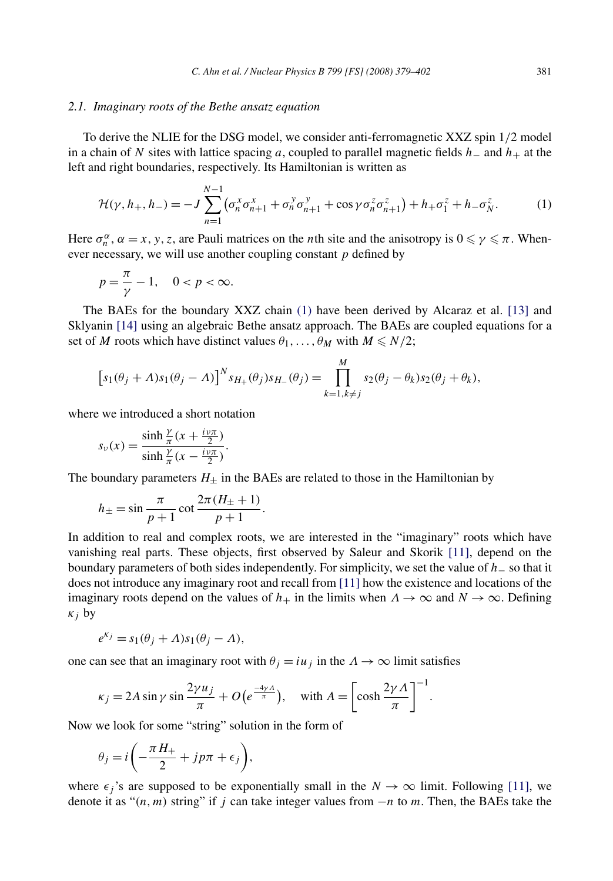### *2.1. Imaginary roots of the Bethe ansatz equation*

To derive the NLIE for the DSG model, we consider anti-ferromagnetic XXZ spin 1*/*2 model in a chain of *N* sites with lattice spacing *a*, coupled to parallel magnetic fields *h*− and *h*+ at the left and right boundaries, respectively. Its Hamiltonian is written as

$$
\mathcal{H}(\gamma, h_+, h_-) = -J \sum_{n=1}^{N-1} (\sigma_n^x \sigma_{n+1}^x + \sigma_n^y \sigma_{n+1}^y + \cos \gamma \sigma_n^z \sigma_{n+1}^z) + h_+ \sigma_1^z + h_- \sigma_N^z.
$$
 (1)

Here  $\sigma_n^{\alpha}$ ,  $\alpha = x, y, z$ , are Pauli matrices on the *n*th site and the anisotropy is  $0 \le \gamma \le \pi$ . Whenever necessary, we will use another coupling constant *p* defined by

$$
p = \frac{\pi}{\gamma} - 1, \quad 0 < p < \infty.
$$

The BAEs for the boundary XXZ chain (1) have been derived by Alcaraz et al. [\[13\]](#page-23-0) and Sklyanin [\[14\]](#page-23-0) using an algebraic Bethe ansatz approach. The BAEs are coupled equations for a set of *M* roots which have distinct values  $\theta_1, \ldots, \theta_M$  with  $M \le N/2$ ;

$$
[s_1(\theta_j + \Lambda)s_1(\theta_j - \Lambda)]^N s_{H_+}(\theta_j)s_{H_-}(\theta_j) = \prod_{k=1, k \neq j}^M s_2(\theta_j - \theta_k)s_2(\theta_j + \theta_k),
$$

where we introduced a short notation

$$
s_{\nu}(x) = \frac{\sinh\frac{\gamma}{\pi}(x + \frac{i\nu\pi}{2})}{\sinh\frac{\gamma}{\pi}(x - \frac{i\nu\pi}{2})}.
$$

The boundary parameters  $H_{\pm}$  in the BAEs are related to those in the Hamiltonian by

$$
h_{\pm} = \sin \frac{\pi}{p+1} \cot \frac{2\pi (H_{\pm} + 1)}{p+1}.
$$

In addition to real and complex roots, we are interested in the "imaginary" roots which have vanishing real parts. These objects, first observed by Saleur and Skorik [\[11\],](#page-23-0) depend on the boundary parameters of both sides independently. For simplicity, we set the value of *h*− so that it does not introduce any imaginary root and recall from [\[11\]](#page-23-0) how the existence and locations of the imaginary roots depend on the values of  $h_+$  in the limits when  $\Lambda \to \infty$  and  $N \to \infty$ . Defining *κj* by

$$
e^{\kappa_j} = s_1(\theta_j + \Lambda)s_1(\theta_j - \Lambda),
$$

one can see that an imaginary root with  $\theta_i = i u_i$  in the  $\Lambda \to \infty$  limit satisfies

$$
\kappa_j = 2A \sin \gamma \sin \frac{2\gamma u_j}{\pi} + O\left(e^{\frac{-4\gamma A}{\pi}}\right), \quad \text{with } A = \left[\cosh \frac{2\gamma A}{\pi}\right]^{-1}
$$

Now we look for some "string" solution in the form of

$$
\theta_j = i \left( -\frac{\pi H_+}{2} + j p \pi + \epsilon_j \right),\,
$$

where  $\epsilon_j$ 's are supposed to be exponentially small in the  $N \to \infty$  limit. Following [\[11\],](#page-23-0) we denote it as "*(n,m)* string" if *j* can take integer values from −*n* to *m*. Then, the BAEs take the

*.*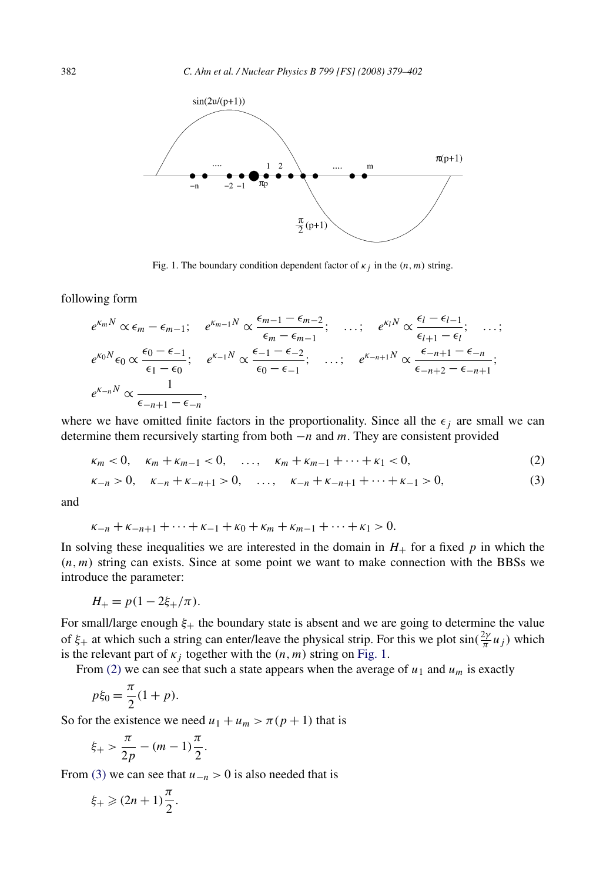<span id="page-3-0"></span>

Fig. 1. The boundary condition dependent factor of  $\kappa_j$  in the  $(n, m)$  string.

following form

$$
e^{K_m N} \propto \epsilon_m - \epsilon_{m-1}; \quad e^{K_{m-1} N} \propto \frac{\epsilon_{m-1} - \epsilon_{m-2}}{\epsilon_m - \epsilon_{m-1}}; \quad \dots; \quad e^{K_l N} \propto \frac{\epsilon_l - \epsilon_{l-1}}{\epsilon_{l+1} - \epsilon_l}; \quad \dots; e^{K_0 N} \epsilon_0 \propto \frac{\epsilon_0 - \epsilon_{-1}}{\epsilon_1 - \epsilon_0}; \quad e^{K_{-1} N} \propto \frac{\epsilon_{-1} - \epsilon_{-2}}{\epsilon_0 - \epsilon_{-1}}; \quad \dots; \quad e^{K_{-n+1} N} \propto \frac{\epsilon_{-n+1} - \epsilon_{-n}}{\epsilon_{-n+2} - \epsilon_{-n+1}}; e^{K_{-n} N} \propto \frac{1}{\epsilon_{-n+1} - \epsilon_{-n}},
$$

where we have omitted finite factors in the proportionality. Since all the  $\epsilon_j$  are small we can determine them recursively starting from both −*n* and *m*. They are consistent provided

$$
\kappa_m < 0, \quad \kappa_m + \kappa_{m-1} < 0, \quad \dots, \quad \kappa_m + \kappa_{m-1} + \dots + \kappa_1 < 0,\tag{2}
$$

$$
\kappa_{-n} > 0, \quad \kappa_{-n} + \kappa_{-n+1} > 0, \quad \dots, \quad \kappa_{-n} + \kappa_{-n+1} + \dots + \kappa_{-1} > 0,\tag{3}
$$

and

$$
\kappa_{-n} + \kappa_{-n+1} + \cdots + \kappa_{-1} + \kappa_0 + \kappa_m + \kappa_{m-1} + \cdots + \kappa_1 > 0.
$$

In solving these inequalities we are interested in the domain in  $H_{+}$  for a fixed p in which the  $(n, m)$  string can exists. Since at some point we want to make connection with the BBSs we introduce the parameter:

$$
H_{+} = p(1 - 2\xi_{+}/\pi).
$$

For small/large enough *ξ*+ the boundary state is absent and we are going to determine the value of  $\xi$ <sup>+</sup> at which such a string can enter/leave the physical strip. For this we plot  $\sin(\frac{2\gamma}{\pi}u_j)$  which is the relevant part of  $\kappa_j$  together with the  $(n, m)$  string on Fig. 1.

From (2) we can see that such a state appears when the average of  $u_1$  and  $u_m$  is exactly

$$
p\xi_0 = \frac{\pi}{2}(1 + p).
$$

So for the existence we need  $u_1 + u_m > \pi(p+1)$  that is

$$
\xi_{+} > \frac{\pi}{2p} - (m-1)\frac{\pi}{2}.
$$

From (3) we can see that  $u_{-n} > 0$  is also needed that is

$$
\xi_+ \geqslant (2n+1)\frac{\pi}{2}.
$$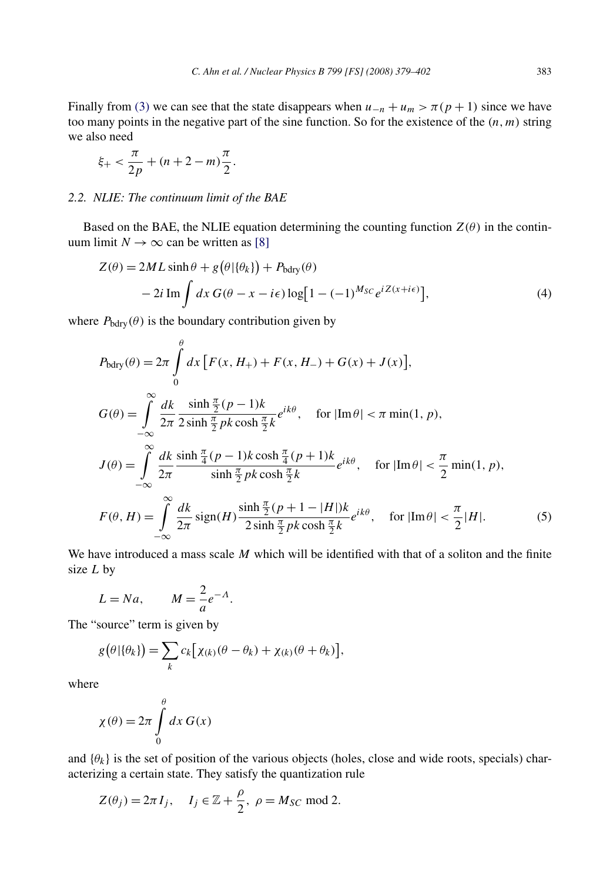<span id="page-4-0"></span>Finally from [\(3\)](#page-3-0) we can see that the state disappears when  $u_{-n} + u_m > \pi(p + 1)$  since we have too many points in the negative part of the sine function. So for the existence of the *(n,m)* string we also need

$$
\xi_{+} < \frac{\pi}{2p} + (n+2-m)\frac{\pi}{2}.
$$

## *2.2. NLIE: The continuum limit of the BAE*

Based on the BAE, the NLIE equation determining the counting function  $Z(\theta)$  in the continuum limit  $N \to \infty$  can be written as [\[8\]](#page-23-0)

$$
Z(\theta) = 2ML \sinh \theta + g(\theta|\{\theta_k\}) + P_{\text{bdry}}(\theta)
$$
  
- 2*i* Im  $\int dx G(\theta - x - i\epsilon) \log[1 - (-1)^{M_{SC}} e^{iZ(x + i\epsilon)}],$  (4)

where  $P_{\text{bdry}}(\theta)$  is the boundary contribution given by

$$
P_{\text{bdry}}(\theta) = 2\pi \int_{0}^{\theta} dx \left[ F(x, H_{+}) + F(x, H_{-}) + G(x) + J(x) \right],
$$
  
\n
$$
G(\theta) = \int_{-\infty}^{\infty} \frac{dk}{2\pi} \frac{\sinh \frac{\pi}{2} (p-1)k}{2\sinh \frac{\pi}{2} pk \cosh \frac{\pi}{2} k} e^{ik\theta}, \quad \text{for } |\text{Im}\,\theta| < \pi \min(1, p),
$$
  
\n
$$
J(\theta) = \int_{-\infty}^{\infty} \frac{dk}{2\pi} \frac{\sinh \frac{\pi}{4} (p-1)k \cosh \frac{\pi}{4} (p+1)k}{\sinh \frac{\pi}{2} pk \cosh \frac{\pi}{2} k} e^{ik\theta}, \quad \text{for } |\text{Im}\,\theta| < \frac{\pi}{2} \min(1, p),
$$
  
\n
$$
F(\theta, H) = \int_{-\infty}^{\infty} \frac{dk}{2\pi} \operatorname{sign}(H) \frac{\sinh \frac{\pi}{2} (p+1-|H|)k}{2\sinh \frac{\pi}{2} pk \cosh \frac{\pi}{2} k} e^{ik\theta}, \quad \text{for } |\text{Im}\,\theta| < \frac{\pi}{2} |H|.
$$
 (5)

We have introduced a mass scale *M* which will be identified with that of a soliton and the finite size *L* by

$$
L = Na, \qquad M = \frac{2}{a}e^{-A}.
$$

The "source" term is given by

$$
g(\theta | \{\theta_k\}) = \sum_k c_k [\chi_{(k)}(\theta - \theta_k) + \chi_{(k)}(\theta + \theta_k)],
$$

where

$$
\chi(\theta) = 2\pi \int_{0}^{\theta} dx G(x)
$$

and  $\{\theta_k\}$  is the set of position of the various objects (holes, close and wide roots, specials) characterizing a certain state. They satisfy the quantization rule

$$
Z(\theta_j) = 2\pi I_j, \quad I_j \in \mathbb{Z} + \frac{\rho}{2}, \ \rho = M_{SC} \text{ mod } 2.
$$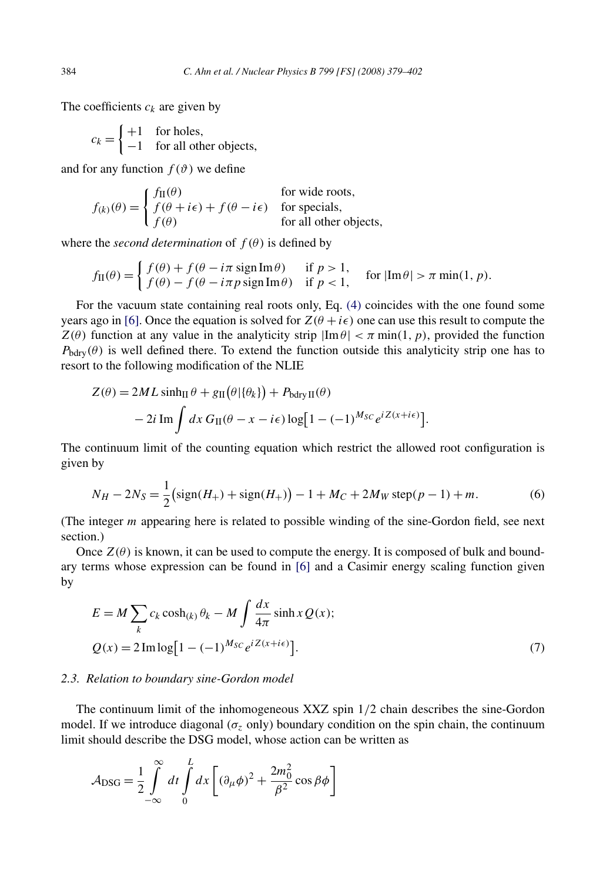The coefficients  $c_k$  are given by

 $c_k = \begin{cases} +1 & \text{for holes,} \\ -1 & \text{for all orb,} \end{cases}$ −1 for all other objects,

and for any function  $f(\theta)$  we define

$$
f_{(k)}(\theta) = \begin{cases} f_{\Pi}(\theta) & \text{for wide roots,} \\ f(\theta + i\epsilon) + f(\theta - i\epsilon) & \text{for special,} \\ f(\theta) & \text{for all other objects,} \end{cases}
$$

where the *second determination* of  $f(\theta)$  is defined by

$$
f_{\rm II}(\theta) = \begin{cases} f(\theta) + f(\theta - i\pi \operatorname{sign} \operatorname{Im} \theta) & \text{if } p > 1, \\ f(\theta) - f(\theta - i\pi p \operatorname{sign} \operatorname{Im} \theta) & \text{if } p < 1, \end{cases} \quad \text{for } |\operatorname{Im} \theta| > \pi \min(1, p).
$$

For the vacuum state containing real roots only, Eq. [\(4\)](#page-4-0) coincides with the one found some years ago in [\[6\].](#page-23-0) Once the equation is solved for  $Z(\theta + i\epsilon)$  one can use this result to compute the  $Z(\theta)$  function at any value in the analyticity strip  $|\text{Im }\theta| < \pi$  min(1, p), provided the function  $P_{\text{bdry}}(\theta)$  is well defined there. To extend the function outside this analyticity strip one has to resort to the following modification of the NLIE

$$
Z(\theta) = 2ML \sinh_{\Pi} \theta + g_{\Pi}(\theta | \{\theta_k\}) + P_{\text{bdry\,II}}(\theta)
$$

$$
- 2i \operatorname{Im} \int dx \, G_{\Pi}(\theta - x - i\epsilon) \log[1 - (-1)^{M_{SC}} e^{iZ(x + i\epsilon)}].
$$

The continuum limit of the counting equation which restrict the allowed root configuration is given by

$$
N_H - 2N_S = \frac{1}{2} \left( \text{sign}(H_+) + \text{sign}(H_+) \right) - 1 + M_C + 2M_W \, \text{step}(p-1) + m. \tag{6}
$$

(The integer *m* appearing here is related to possible winding of the sine-Gordon field, see next section.)

Once  $Z(\theta)$  is known, it can be used to compute the energy. It is composed of bulk and boundary terms whose expression can be found in [\[6\]](#page-23-0) and a Casimir energy scaling function given by

$$
E = M \sum_{k} c_k \cosh(k) \theta_k - M \int \frac{dx}{4\pi} \sinh x Q(x);
$$
  

$$
Q(x) = 2 \operatorname{Im} \log[1 - (-1)^{M_{SC}} e^{i Z(x + i\epsilon)}].
$$
 (7)

#### *2.3. Relation to boundary sine-Gordon model*

The continuum limit of the inhomogeneous XXZ spin 1*/*2 chain describes the sine-Gordon model. If we introduce diagonal ( $\sigma$ <sub>z</sub> only) boundary condition on the spin chain, the continuum limit should describe the DSG model, whose action can be written as

$$
\mathcal{A}_{\rm DSG} = \frac{1}{2} \int_{-\infty}^{\infty} dt \int_{0}^{L} dx \left[ (\partial_{\mu} \phi)^{2} + \frac{2m_{0}^{2}}{\beta^{2}} \cos \beta \phi \right]
$$

<span id="page-5-0"></span>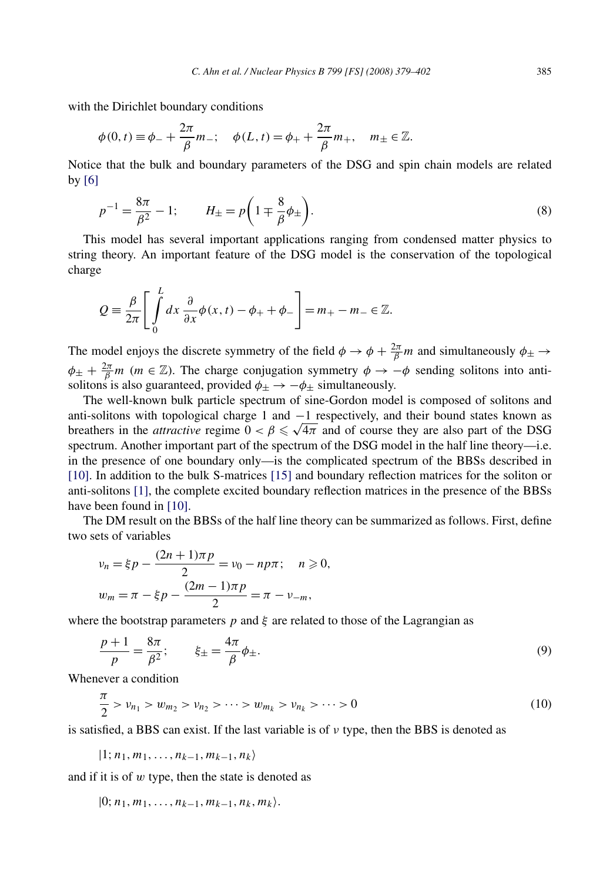<span id="page-6-0"></span>with the Dirichlet boundary conditions

$$
\phi(0, t) \equiv \phi_{-} + \frac{2\pi}{\beta} m_{-}; \quad \phi(L, t) = \phi_{+} + \frac{2\pi}{\beta} m_{+}, \quad m_{\pm} \in \mathbb{Z}.
$$

Notice that the bulk and boundary parameters of the DSG and spin chain models are related by [\[6\]](#page-23-0)

$$
p^{-1} = \frac{8\pi}{\beta^2} - 1; \qquad H_{\pm} = p\left(1 \mp \frac{8}{\beta}\phi_{\pm}\right).
$$
 (8)

This model has several important applications ranging from condensed matter physics to string theory. An important feature of the DSG model is the conservation of the topological charge

$$
Q = \frac{\beta}{2\pi} \left[ \int\limits_0^L dx \, \frac{\partial}{\partial x} \phi(x, t) - \phi_+ + \phi_- \right] = m_+ - m_- \in \mathbb{Z}.
$$

The model enjoys the discrete symmetry of the field  $\phi \to \phi + \frac{2\pi}{\beta}m$  and simultaneously  $\phi_{\pm} \to$  $\phi_{\pm} + \frac{2\pi}{\beta}m$  (*m* ∈ Z). The charge conjugation symmetry  $\phi \to -\phi$  sending solitons into antisolitons is also guaranteed, provided  $\phi_{\pm} \rightarrow -\phi_{\pm}$  simultaneously.

The well-known bulk particle spectrum of sine-Gordon model is composed of solitons and anti-solitons with topological charge 1 and  $-1$  respectively, and their bound states known as anti-solitons with topological charge 1 and  $-1$  respectively, and their bound states known as<br>breathers in the *attractive* regime  $0 < \beta \le \sqrt{4\pi}$  and of course they are also part of the DSG spectrum. Another important part of the spectrum of the DSG model in the half line theory—i.e. in the presence of one boundary only—is the complicated spectrum of the BBSs described in [\[10\].](#page-23-0) In addition to the bulk S-matrices [\[15\]](#page-23-0) and boundary reflection matrices for the soliton or anti-solitons [\[1\],](#page-23-0) the complete excited boundary reflection matrices in the presence of the BBSs have been found in [\[10\].](#page-23-0)

The DM result on the BBSs of the half line theory can be summarized as follows. First, define two sets of variables

$$
v_n = \xi p - \frac{(2n+1)\pi p}{2} = v_0 - np\pi; \quad n \ge 0,
$$
  

$$
w_m = \pi - \xi p - \frac{(2m-1)\pi p}{2} = \pi - \nu_{-m},
$$

where the bootstrap parameters  $p$  and  $\xi$  are related to those of the Lagrangian as

$$
\frac{p+1}{p} = \frac{8\pi}{\beta^2}; \qquad \xi_{\pm} = \frac{4\pi}{\beta}\phi_{\pm}.
$$
\n
$$
(9)
$$

Whenever a condition

$$
\frac{\pi}{2} > \nu_{n_1} > w_{m_2} > \nu_{n_2} > \dots > w_{m_k} > \nu_{n_k} > \dots > 0
$$
\n(10)

is satisfied, a BBS can exist. If the last variable is of *ν* type, then the BBS is denoted as

$$
|1; n_1, m_1, \ldots, n_{k-1}, m_{k-1}, n_k\rangle
$$

and if it is of *w* type, then the state is denoted as

|0; *n*1*,m*1*,...,nk*<sup>−</sup>1*,mk*<sup>−</sup>1*,nk,mk.*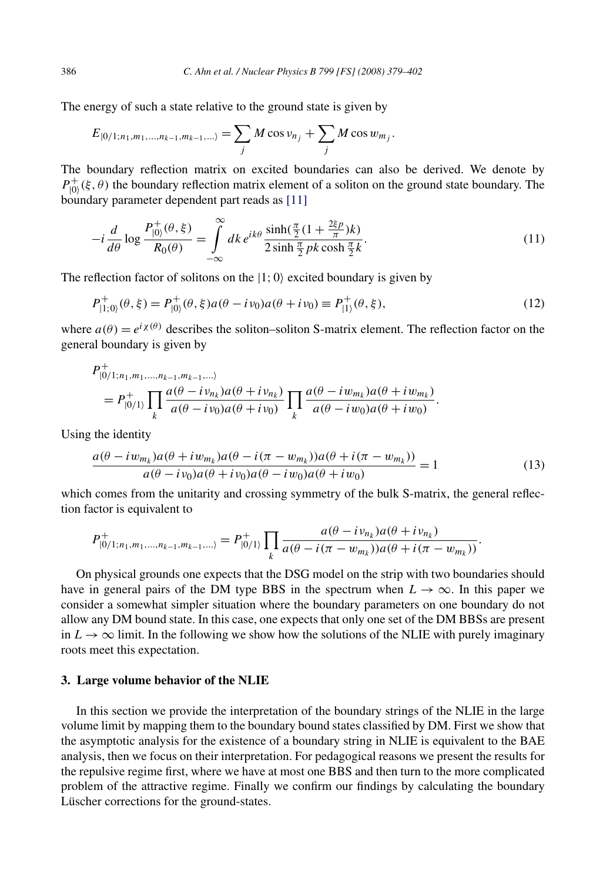The energy of such a state relative to the ground state is given by

$$
E_{|0/1;n_1,m_1,...,n_{k-1},m_{k-1},...\}} = \sum_j M \cos \nu_{n_j} + \sum_j M \cos w_{m_j}.
$$

The boundary reflection matrix on excited boundaries can also be derived. We denote by  $P_{|0\rangle}^+(\xi,\theta)$  the boundary reflection matrix element of a soliton on the ground state boundary. The boundary parameter dependent part reads as [\[11\]](#page-23-0)

$$
-i\frac{d}{d\theta}\log\frac{P_{|0\rangle}^{+}(\theta,\xi)}{R_{0}(\theta)} = \int_{-\infty}^{\infty} dk \, e^{ik\theta} \frac{\sinh(\frac{\pi}{2}(1+\frac{2\xi p}{\pi})k)}{2\sinh\frac{\pi}{2}pk\cosh\frac{\pi}{2}k}.
$$
\n(11)

The reflection factor of solitons on the  $|1; 0\rangle$  excited boundary is given by

$$
P_{|1;0\rangle}^{+}(\theta,\xi) = P_{|0\rangle}^{+}(\theta,\xi)a(\theta - i\nu_{0})a(\theta + i\nu_{0}) \equiv P_{|1\rangle}^{+}(\theta,\xi),
$$
\n(12)

where  $a(\theta) = e^{i\chi(\theta)}$  describes the soliton–soliton S-matrix element. The reflection factor on the general boundary is given by

$$
P_{|0/1;n_1,m_1,...,n_{k-1},m_{k-1},...}^{+} = P_{|0/1}^{+} \prod_{k} \frac{a(\theta - i\nu_{n_k})a(\theta + i\nu_{n_k})}{a(\theta - i\nu_0)a(\theta + i\nu_0)} \prod_{k} \frac{a(\theta - i\nu_{m_k})a(\theta + i\nu_{m_k})}{a(\theta - i\nu_0)a(\theta + i\nu_0)}.
$$

Using the identity

$$
\frac{a(\theta - iw_{m_k})a(\theta + iw_{m_k})a(\theta - i(\pi - w_{m_k}))a(\theta + i(\pi - w_{m_k}))}{a(\theta - iv_0)a(\theta + iv_0)a(\theta - iw_0)a(\theta + iw_0)} = 1
$$
\n(13)

which comes from the unitarity and crossing symmetry of the bulk S-matrix, the general reflection factor is equivalent to

$$
P_{|0/1;n_1,m_1,...,n_{k-1},m_{k-1},...}^{+} = P_{|0/1}^{+} \prod_{k} \frac{a(\theta - i\nu_{n_k})a(\theta + i\nu_{n_k})}{a(\theta - i(\pi - w_{m_k}))a(\theta + i(\pi - w_{m_k}))}.
$$

On physical grounds one expects that the DSG model on the strip with two boundaries should have in general pairs of the DM type BBS in the spectrum when  $L \to \infty$ . In this paper we consider a somewhat simpler situation where the boundary parameters on one boundary do not allow any DM bound state. In this case, one expects that only one set of the DM BBSs are present in  $L \to \infty$  limit. In the following we show how the solutions of the NLIE with purely imaginary roots meet this expectation.

## **3. Large volume behavior of the NLIE**

In this section we provide the interpretation of the boundary strings of the NLIE in the large volume limit by mapping them to the boundary bound states classified by DM. First we show that the asymptotic analysis for the existence of a boundary string in NLIE is equivalent to the BAE analysis, then we focus on their interpretation. For pedagogical reasons we present the results for the repulsive regime first, where we have at most one BBS and then turn to the more complicated problem of the attractive regime. Finally we confirm our findings by calculating the boundary Lüscher corrections for the ground-states.

<span id="page-7-0"></span>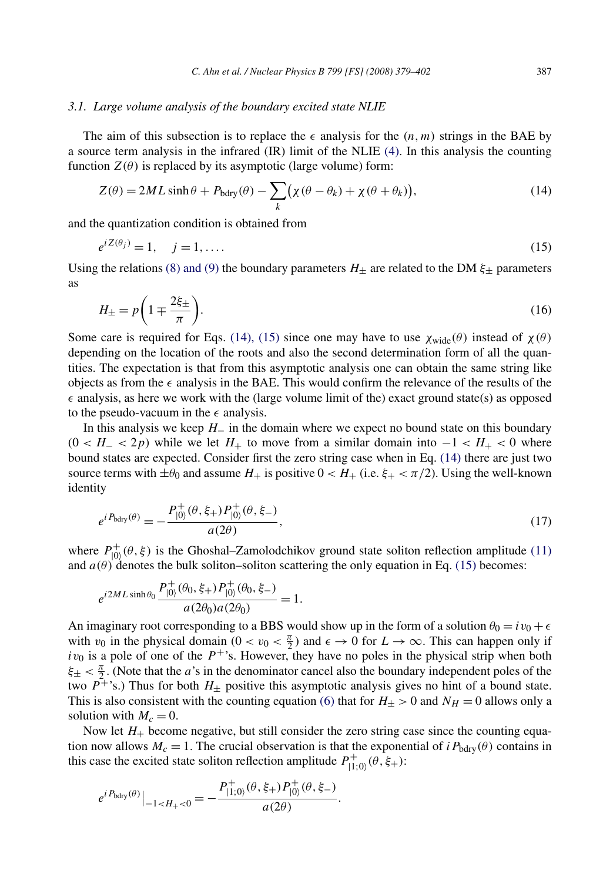## <span id="page-8-0"></span>*3.1. Large volume analysis of the boundary excited state NLIE*

The aim of this subsection is to replace the  $\epsilon$  analysis for the  $(n, m)$  strings in the BAE by a source term analysis in the infrared (IR) limit of the NLIE [\(4\).](#page-4-0) In this analysis the counting function  $Z(\theta)$  is replaced by its asymptotic (large volume) form:

$$
Z(\theta) = 2ML \sinh \theta + P_{\text{bdry}}(\theta) - \sum_{k} (\chi(\theta - \theta_k) + \chi(\theta + \theta_k)), \tag{14}
$$

and the quantization condition is obtained from

$$
e^{iZ(\theta_j)} = 1, \quad j = 1, \dots \tag{15}
$$

Using the relations [\(8\) and \(9\)](#page-6-0) the boundary parameters  $H_{\pm}$  are related to the DM  $\xi_{\pm}$  parameters as

$$
H_{\pm} = p \left( 1 \mp \frac{2\xi_{\pm}}{\pi} \right). \tag{16}
$$

Some care is required for Eqs. (14), (15) since one may have to use  $\chi_{\text{wide}}(\theta)$  instead of  $\chi(\theta)$ depending on the location of the roots and also the second determination form of all the quantities. The expectation is that from this asymptotic analysis one can obtain the same string like objects as from the  $\epsilon$  analysis in the BAE. This would confirm the relevance of the results of the  $\epsilon$  analysis, as here we work with the (large volume limit of the) exact ground state(s) as opposed to the pseudo-vacuum in the  $\epsilon$  analysis.

In this analysis we keep *H*− in the domain where we expect no bound state on this boundary  $(0 < H<sub>-</sub> < 2p)$  while we let  $H<sub>+</sub>$  to move from a similar domain into  $-1 < H<sub>+</sub> < 0$  where bound states are expected. Consider first the zero string case when in Eq. (14) there are just two source terms with  $\pm\theta_0$  and assume  $H_+$  is positive  $0 < H_+$  (i.e.  $\xi_+ < \pi/2$ ). Using the well-known identity

$$
e^{iP_{\text{bdry}}(\theta)} = -\frac{P_{|0\rangle}^{+}(\theta, \xi_{+}) P_{|0\rangle}^{+}(\theta, \xi_{-})}{a(2\theta)},
$$
\n(17)

where  $P_{|0\rangle}^{+}(\theta, \xi)$  is the Ghoshal–Zamolodchikov ground state soliton reflection amplitude [\(11\)](#page-7-0) and  $a(\theta)$  denotes the bulk soliton–soliton scattering the only equation in Eq. (15) becomes:

$$
e^{i2ML\sinh\theta_0}\frac{P_{|0\rangle}^+(\theta_0,\xi_+)P_{|0\rangle}^+(\theta_0,\xi_-)}{a(2\theta_0)a(2\theta_0)}=1.
$$

An imaginary root corresponding to a BBS would show up in the form of a solution  $\theta_0 = iv_0 + \epsilon$ with  $v_0$  in the physical domain  $(0 < v_0 < \frac{\pi}{2})$  and  $\epsilon \to 0$  for  $L \to \infty$ . This can happen only if  $iv_0$  is a pole of one of the  $P^+$ 's. However, they have no poles in the physical strip when both  $\xi_{\pm} < \frac{\pi}{2}$ . (Note that the *a*'s in the denominator cancel also the boundary independent poles of the two  $P^{\ddagger}$ 's.) Thus for both  $H_{\pm}$  positive this asymptotic analysis gives no hint of a bound state. This is also consistent with the counting equation [\(6\)](#page-5-0) that for  $H_{\pm} > 0$  and  $N_H = 0$  allows only a solution with  $M_c = 0$ .

Now let  $H_+$  become negative, but still consider the zero string case since the counting equation now allows  $M_c = 1$ . The crucial observation is that the exponential of *iP*<sub>bdry</sub>( $\theta$ ) contains in this case the excited state soliton reflection amplitude  $P_{|1;0\rangle}^+$   $(\theta, \xi_+)$ :

$$
e^{i P_{\text{bdry}}(\theta)}\big|_{-1
$$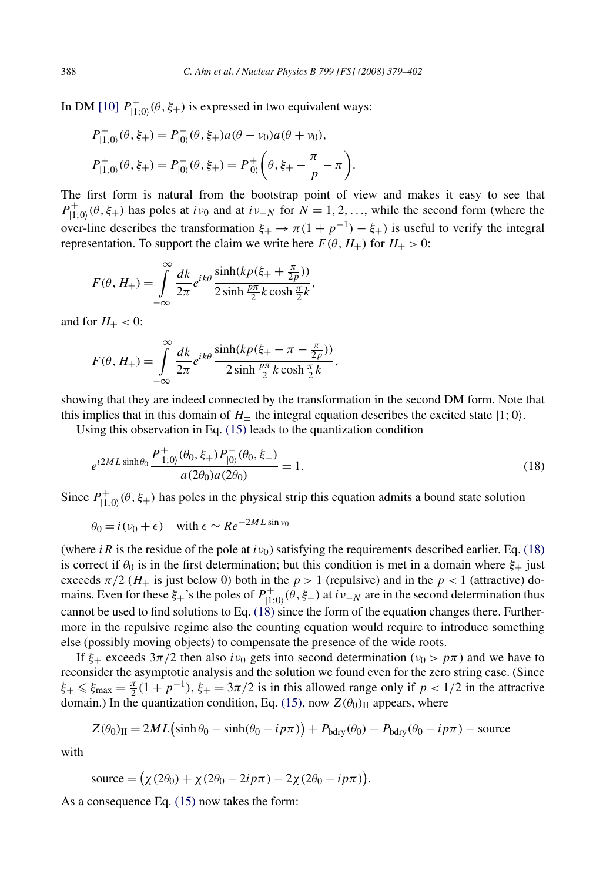In DM [\[10\]](#page-23-0)  $P_{|1;0\rangle}^+(\theta, \xi_+)$  is expressed in two equivalent ways:

$$
P_{|1;0\rangle}^{+}(\theta, \xi_{+}) = P_{|0\rangle}^{+}(\theta, \xi_{+}) a(\theta - \nu_{0}) a(\theta + \nu_{0}),
$$
  

$$
P_{|1;0\rangle}^{+}(\theta, \xi_{+}) = \overline{P_{|0\rangle}^{-}(\theta, \xi_{+})} = P_{|0\rangle}^{+}(\theta, \xi_{+} - \frac{\pi}{p} - \pi).
$$

The first form is natural from the bootstrap point of view and makes it easy to see that  $P_{|1,0\rangle}^+(\theta, \xi_+)$  has poles at *iv*<sub>0</sub> and at *iv*−*N* for  $\hat{N} = 1, 2, \dots$ , while the second form (where the over-line describes the transformation  $\xi_+ \to \pi(1 + p^{-1}) - \xi_+$ ) is useful to verify the integral representation. To support the claim we write here  $F(\theta, H_+)$  for  $H_+ > 0$ :

$$
F(\theta, H_{+}) = \int_{-\infty}^{\infty} \frac{dk}{2\pi} e^{ik\theta} \frac{\sinh(kp(\xi_{+} + \frac{\pi}{2p}))}{2\sinh\frac{p\pi}{2}k\cosh\frac{\pi}{2}k},
$$

and for  $H_+ < 0$ :

$$
F(\theta, H_{+}) = \int_{-\infty}^{\infty} \frac{dk}{2\pi} e^{ik\theta} \frac{\sinh(kp(\xi_{+} - \pi - \frac{\pi}{2p}))}{2\sinh\frac{p\pi}{2}k\cosh\frac{\pi}{2}k},
$$

showing that they are indeed connected by the transformation in the second DM form. Note that this implies that in this domain of  $H_{+}$  the integral equation describes the excited state  $|1; 0\rangle$ .

Using this observation in Eq. [\(15\)](#page-8-0) leads to the quantization condition

$$
e^{i2ML\sinh\theta_0} \frac{P_{|1;0\rangle}^+(\theta_0,\xi_+) P_{|0\rangle}^+(\theta_0,\xi_-)}{a(2\theta_0)a(2\theta_0)} = 1.
$$
 (18)

Since  $P_{|1;0\rangle}^+(\theta, \xi_+)$  has poles in the physical strip this equation admits a bound state solution

$$
\theta_0 = i(v_0 + \epsilon)
$$
 with  $\epsilon \sim Re^{-2ML \sin v_0}$ 

(where *iR* is the residue of the pole at  $i v_0$ ) satisfying the requirements described earlier. Eq. (18) is correct if  $\theta_0$  is in the first determination; but this condition is met in a domain where  $\xi_+$  just exceeds  $\pi/2$  ( $H_+$  is just below 0) both in the  $p > 1$  (repulsive) and in the  $p < 1$  (attractive) domains. Even for these  $\xi_+$ 's the poles of  $P_{|1,0\rangle}^+(\theta, \xi_+)$  at  $i\nu_{-N}$  are in the second determination thus cannot be used to find solutions to Eq. (18) since the form of the equation changes there. Furthermore in the repulsive regime also the counting equation would require to introduce something else (possibly moving objects) to compensate the presence of the wide roots.

If  $\xi$ <sub>+</sub> exceeds  $3\pi/2$  then also *iv*<sub>0</sub> gets into second determination ( $\nu$ <sub>0</sub> >  $p\pi$ ) and we have to reconsider the asymptotic analysis and the solution we found even for the zero string case. (Since  $\xi_+ \leq \xi_{\text{max}} = \frac{\pi}{2}(1 + p^{-1}), \xi_+ = 3\pi/2$  is in this allowed range only if  $p < 1/2$  in the attractive domain.) In the quantization condition, Eq. [\(15\),](#page-8-0) now  $Z(\theta_0)$ <sub>II</sub> appears, where

$$
Z(\theta_0)_{II} = 2ML(\sinh\theta_0 - \sinh(\theta_0 - ip\pi)) + P_{\text{bdry}}(\theta_0) - P_{\text{bdry}}(\theta_0 - ip\pi) - \text{source}
$$

with

$$
source = (\chi(2\theta_0) + \chi(2\theta_0 - 2ip\pi) - 2\chi(2\theta_0 - ip\pi)).
$$

As a consequence Eq. [\(15\)](#page-8-0) now takes the form: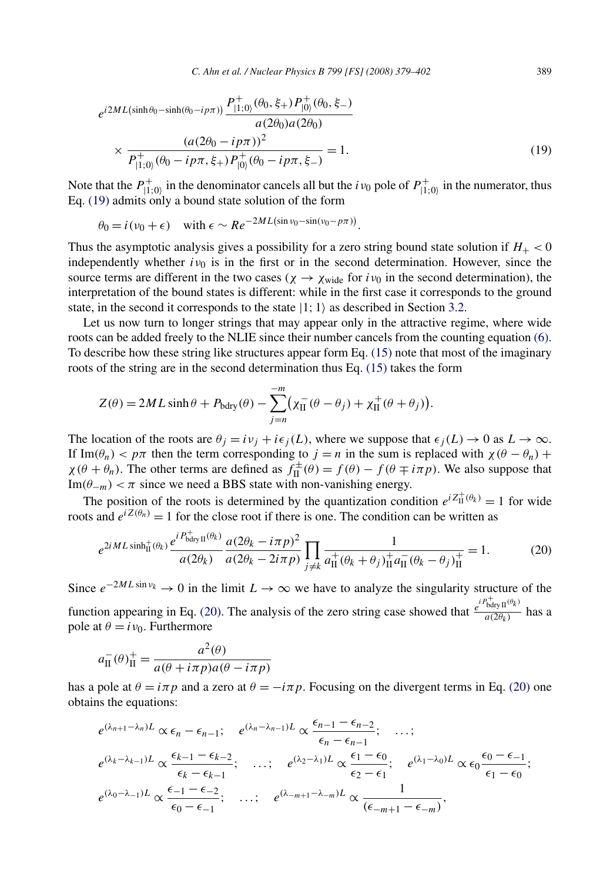$$
e^{i2ML(\sinh\theta_0 - \sinh(\theta_0 - i p\pi))} \frac{P_{|1;0\rangle}^+ (\theta_0, \xi_+) P_{|0\rangle}^+ (\theta_0, \xi_-)}{a(2\theta_0)a(2\theta_0)} \times \frac{(a(2\theta_0 - i p\pi))^2}{P_{|1;0\rangle}^+ (\theta_0 - i p\pi, \xi_+) P_{|0\rangle}^+ (\theta_0 - i p\pi, \xi_-)} = 1.
$$
\n(19)

Note that the  $P_{|1;0\rangle}^+$  in the denominator cancels all but the *i*  $v_0$  pole of  $P_{|1;0\rangle}^+$  in the numerator, thus Eq. (19) admits only a bound state solution of the form

$$
\theta_0 = i(\nu_0 + \epsilon)
$$
 with  $\epsilon \sim Re^{-2ML(\sin \nu_0 - \sin(\nu_0 - p\pi))}$ .

Thus the asymptotic analysis gives a possibility for a zero string bound state solution if  $H_+ < 0$ independently whether  $i\nu_0$  is in the first or in the second determination. However, since the source terms are different in the two cases ( $\chi \rightarrow \chi_{\text{wide}}$  for  $i\nu_0$  in the second determination), the interpretation of the bound states is different: while in the first case it corresponds to the ground state, in the second it corresponds to the state  $|1; 1\rangle$  as described in Section [3.2.](#page-11-0)

Let us now turn to longer strings that may appear only in the attractive regime, where wide roots can be added freely to the NLIE since their number cancels from the counting equation [\(6\).](#page-5-0) To describe how these string like structures appear form Eq. [\(15\)](#page-8-0) note that most of the imaginary roots of the string are in the second determination thus Eq. [\(15\)](#page-8-0) takes the form

$$
Z(\theta) = 2ML \sinh \theta + P_{\text{bdry}}(\theta) - \sum_{j=n}^{-m} \left( \chi_{\text{II}}^{-} (\theta - \theta_j) + \chi_{\text{II}}^{+} (\theta + \theta_j) \right).
$$

The location of the roots are  $\theta_j = iv_j + i\epsilon_j(L)$ , where we suppose that  $\epsilon_j(L) \to 0$  as  $L \to \infty$ . If Im( $\theta_n$ ) < p $\pi$  then the term corresponding to  $j = n$  in the sum is replaced with  $\chi(\theta - \theta_n)$  +  $\chi(\theta + \theta_n)$ . The other terms are defined as  $f_{\text{II}}^{\pm}(\theta) = f(\theta) - f(\theta \mp i\pi p)$ . We also suppose that Im( $\theta$ <sup>−</sup>*m*) <  $\pi$  since we need a BBS state with non-vanishing energy.

The position of the roots is determined by the quantization condition  $e^{iZ_{\text{II}}^{+}(\theta_k)} = 1$  for wide roots and  $e^{iZ(\theta_n)} = 1$  for the close root if there is one. The condition can be written as

$$
e^{2iML\sinh_{\Pi}^{+}(\theta_{k})}\frac{e^{iP_{\text{bdry}}^{+}(\theta_{k})}}{a(2\theta_{k})}\frac{a(2\theta_{k}-i\pi p)^{2}}{a(2\theta_{k}-2i\pi p)}\prod_{j\neq k}\frac{1}{a_{\Pi}^{+}(\theta_{k}+\theta_{j})_{\Pi}^{+}a_{\Pi}^{-}(\theta_{k}-\theta_{j})_{\Pi}^{+}}=1.
$$
 (20)

Since  $e^{-2ML\sin v_k} \to 0$  in the limit  $L \to \infty$  we have to analyze the singularity structure of the function appearing in Eq. (20). The analysis of the zero string case showed that  $\frac{e^{iP_{\text{bdryII}}^+ (\theta_k)}}{a(2\theta_k)}$  has a pole at  $\theta = i v_0$ . Furthermore

$$
a_{\text{II}}^-(\theta)_{\text{II}}^+ = \frac{a^2(\theta)}{a(\theta + i\pi p)a(\theta - i\pi p)}
$$

has a pole at  $\theta = i\pi p$  and a zero at  $\theta = -i\pi p$ . Focusing on the divergent terms in Eq. (20) one obtains the equations:

$$
e^{(\lambda_{n+1}-\lambda_n)L} \propto \epsilon_n - \epsilon_{n-1}; \quad e^{(\lambda_n-\lambda_{n-1})L} \propto \frac{\epsilon_{n-1} - \epsilon_{n-2}}{\epsilon_n - \epsilon_{n-1}}; \quad \dots;
$$
  
\n
$$
e^{(\lambda_k-\lambda_{k-1})L} \propto \frac{\epsilon_{k-1} - \epsilon_{k-2}}{\epsilon_k - \epsilon_{k-1}}; \quad \dots; \quad e^{(\lambda_2-\lambda_1)L} \propto \frac{\epsilon_1 - \epsilon_0}{\epsilon_2 - \epsilon_1}; \quad e^{(\lambda_1-\lambda_0)L} \propto \epsilon_0 \frac{\epsilon_0 - \epsilon_{-1}}{\epsilon_1 - \epsilon_0};
$$
  
\n
$$
e^{(\lambda_0-\lambda_{-1})L} \propto \frac{\epsilon_{-1} - \epsilon_{-2}}{\epsilon_0 - \epsilon_{-1}}; \quad \dots; \quad e^{(\lambda_{-m+1}-\lambda_{-m})L} \propto \frac{1}{(\epsilon_{-m+1}-\epsilon_{-m})},
$$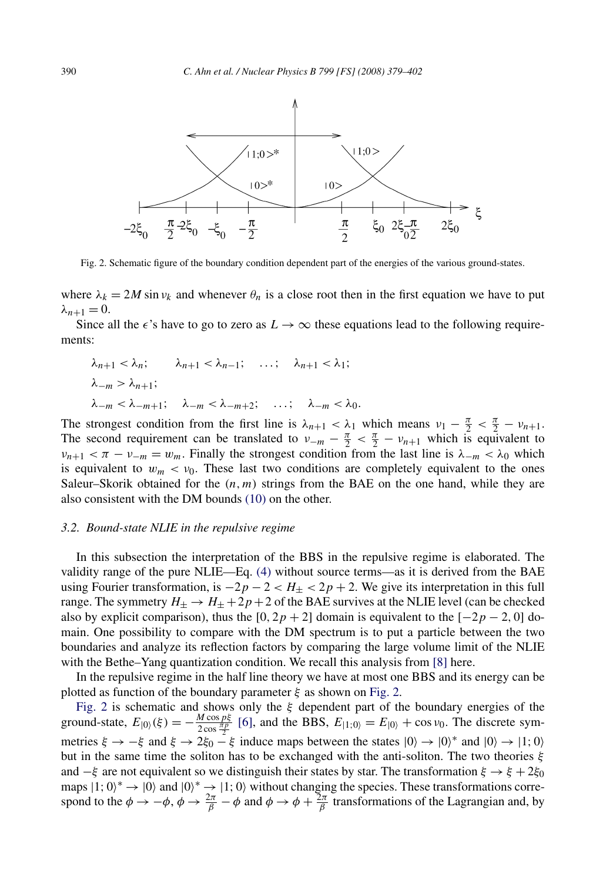<span id="page-11-0"></span>

Fig. 2. Schematic figure of the boundary condition dependent part of the energies of the various ground-states.

where  $\lambda_k = 2M \sin v_k$  and whenever  $\theta_n$  is a close root then in the first equation we have to put  $\lambda_{n+1}=0$ .

Since all the  $\epsilon$ 's have to go to zero as  $L \to \infty$  these equations lead to the following requirements:

$$
\lambda_{n+1} < \lambda_n; \qquad \lambda_{n+1} < \lambda_{n-1}; \qquad \dots; \qquad \lambda_{n+1} < \lambda_1; \\
\lambda_{-m} > \lambda_{n+1}; \qquad \lambda_{-m} < \lambda_{-m+1}; \qquad \lambda_{-m} < \lambda_{-m+2}; \qquad \dots; \qquad \lambda_{-m} < \lambda_0.
$$

The strongest condition from the first line is  $\lambda_{n+1} < \lambda_1$  which means  $v_1 - \frac{\pi}{2} < \frac{\pi}{2} - v_{n+1}$ . The second requirement can be translated to  $v_{-m} - \frac{\pi}{2} < \frac{\pi}{2} - v_{n+1}$  which is equivalent to  $\nu_{n+1} < \pi - \nu_{-m} = w_m$ . Finally the strongest condition from the last line is  $\lambda_{-m} < \lambda_0$  which is equivalent to  $w_m < v_0$ . These last two conditions are completely equivalent to the ones Saleur–Skorik obtained for the  $(n, m)$  strings from the BAE on the one hand, while they are also consistent with the DM bounds [\(10\)](#page-6-0) on the other.

#### *3.2. Bound-state NLIE in the repulsive regime*

In this subsection the interpretation of the BBS in the repulsive regime is elaborated. The validity range of the pure NLIE—Eq. [\(4\)](#page-4-0) without source terms—as it is derived from the BAE using Fourier transformation, is  $-2p - 2 < H_{\pm} < 2p + 2$ . We give its interpretation in this full range. The symmetry  $H_{\pm} \rightarrow H_{\pm} + 2p + 2$  of the BAE survives at the NLIE level (can be checked also by explicit comparison), thus the  $[0, 2p + 2]$  domain is equivalent to the  $[-2p - 2, 0]$  domain. One possibility to compare with the DM spectrum is to put a particle between the two boundaries and analyze its reflection factors by comparing the large volume limit of the NLIE with the Bethe–Yang quantization condition. We recall this analysis from [\[8\]](#page-23-0) here.

In the repulsive regime in the half line theory we have at most one BBS and its energy can be plotted as function of the boundary parameter *ξ* as shown on Fig. 2.

Fig. 2 is schematic and shows only the *ξ* dependent part of the boundary energies of the ground-state,  $E_{|0\rangle}(\xi) = -\frac{M \cos p\xi}{2 \cos \frac{\pi p}{2}}$  [\[6\],](#page-23-0) and the BBS,  $E_{|1\rangle}(0) = E_{|0\rangle} + \cos v_0$ . The discrete symmetries  $\xi \to -\xi$  and  $\xi \to 2\xi_0 - \xi$  induce maps between the states  $|0\rangle \to |0\rangle^*$  and  $|0\rangle \to |1; 0\rangle$ but in the same time the soliton has to be exchanged with the anti-soliton. The two theories *ξ* and  $-\xi$  are not equivalent so we distinguish their states by star. The transformation  $\xi \to \xi + 2\xi_0$ maps  $|1; 0\rangle^* \rightarrow |0\rangle$  and  $|0\rangle^* \rightarrow |1; 0\rangle$  without changing the species. These transformations correspond to the  $\phi \to -\phi$ ,  $\phi \to \frac{2\pi}{\beta} - \phi$  and  $\phi \to \phi + \frac{2\pi}{\beta}$  transformations of the Lagrangian and, by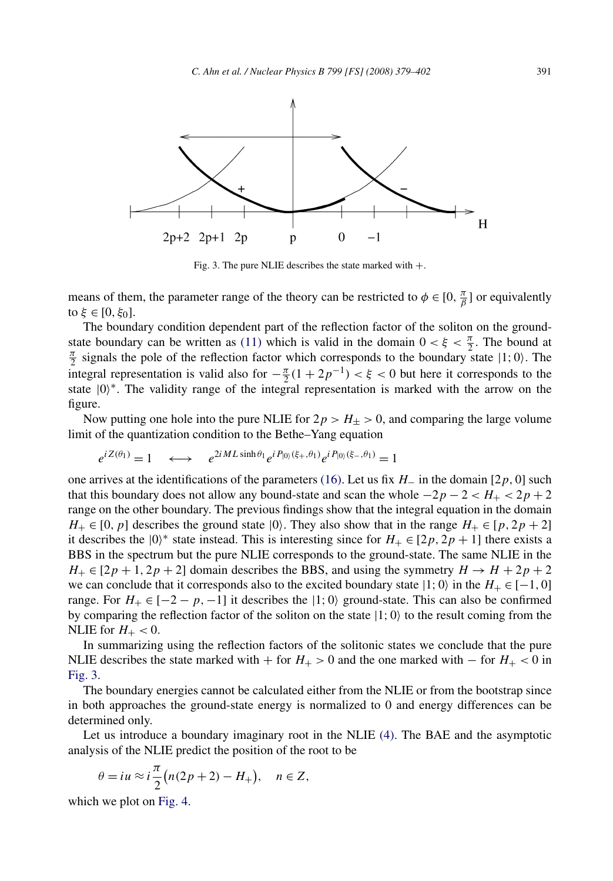

Fig. 3. The pure NLIE describes the state marked with  $+$ .

means of them, the parameter range of the theory can be restricted to  $\phi \in [0, \frac{\pi}{\beta}]$  or equivalently to *ξ* ∈ [0*, ξ*<sub>0</sub>].

The boundary condition dependent part of the reflection factor of the soliton on the ground-state boundary can be written as [\(11\)](#page-7-0) which is valid in the domain  $0 < \xi < \frac{\pi}{2}$ . The bound at  $\frac{\pi}{2}$  signals the pole of the reflection factor which corresponds to the boundary state 11:0). The  $\frac{\pi}{2}$  signals the pole of the reflection factor which corresponds to the boundary state  $|1; 0\rangle$ . The integral representation is valid also for  $-\frac{\pi}{2}(1+2p^{-1}) < \xi < 0$  but here it corresponds to the state |0<sup>∗</sup>. The validity range of the integral representation is marked with the arrow on the figure.

Now putting one hole into the pure NLIE for  $2p > H_{\pm} > 0$ , and comparing the large volume limit of the quantization condition to the Bethe–Yang equation

$$
e^{iZ(\theta_1)} = 1 \quad \longleftrightarrow \quad e^{2iML\sinh\theta_1}e^{iP_{|0\rangle}(\xi_+,\theta_1)}e^{iP_{|0\rangle}(\xi_-,\theta_1)} = 1
$$

one arrives at the identifications of the parameters [\(16\).](#page-8-0) Let us fix *H*<sup>−</sup> in the domain [2*p,* 0] such that this boundary does not allow any bound-state and scan the whole  $-2p - 2 < H_+ < 2p + 2$ range on the other boundary. The previous findings show that the integral equation in the domain  $H_+ \in [0, p]$  describes the ground state  $|0\rangle$ . They also show that in the range  $H_+ \in [p, 2p + 2]$ it describes the  $|0\rangle^*$  state instead. This is interesting since for  $H_+ \in [2p, 2p + 1]$  there exists a BBS in the spectrum but the pure NLIE corresponds to the ground-state. The same NLIE in the  $H_+ \in [2p + 1, 2p + 2]$  domain describes the BBS, and using the symmetry  $H \to H + 2p + 2$ we can conclude that it corresponds also to the excited boundary state  $|1; 0\rangle$  in the  $H_+ \in [-1, 0]$ range. For  $H_+ \in [-2 - p, -1]$  it describes the  $|1; 0\rangle$  ground-state. This can also be confirmed by comparing the reflection factor of the soliton on the state  $|1; 0\rangle$  to the result coming from the NLIE for  $H_+ < 0$ .

In summarizing using the reflection factors of the solitonic states we conclude that the pure NLIE describes the state marked with + for  $H_+$  > 0 and the one marked with – for  $H_+$  < 0 in Fig. 3.

The boundary energies cannot be calculated either from the NLIE or from the bootstrap since in both approaches the ground-state energy is normalized to 0 and energy differences can be determined only.

Let us introduce a boundary imaginary root in the NLIE [\(4\).](#page-4-0) The BAE and the asymptotic analysis of the NLIE predict the position of the root to be

$$
\theta = iu \approx i\frac{\pi}{2}(n(2p+2) - H_+), \quad n \in \mathbb{Z},
$$

which we plot on [Fig. 4.](#page-13-0)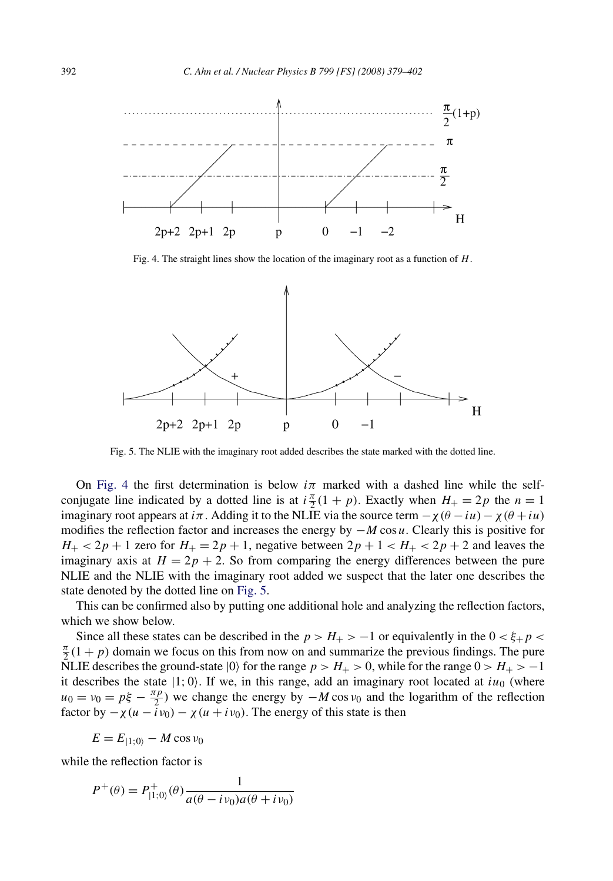<span id="page-13-0"></span>

Fig. 4. The straight lines show the location of the imaginary root as a function of *H*.



Fig. 5. The NLIE with the imaginary root added describes the state marked with the dotted line.

On Fig. 4 the first determination is below  $i\pi$  marked with a dashed line while the selfconjugate line indicated by a dotted line is at  $i \frac{\pi}{2} (1 + p)$ . Exactly when  $H_+ = 2p$  the  $n = 1$ imaginary root appears at *i* $\pi$ . Adding it to the NLIE via the source term  $-\chi(\theta - i\mu) - \chi(\theta + i\mu)$ modifies the reflection factor and increases the energy by −*M* cos *u*. Clearly this is positive for  $H_+ < 2p + 1$  zero for  $H_+ = 2p + 1$ , negative between  $2p + 1 < H_+ < 2p + 2$  and leaves the imaginary axis at  $H = 2p + 2$ . So from comparing the energy differences between the pure NLIE and the NLIE with the imaginary root added we suspect that the later one describes the state denoted by the dotted line on Fig. 5.

This can be confirmed also by putting one additional hole and analyzing the reflection factors, which we show below.

Since all these states can be described in the  $p > H_{+} > -1$  or equivalently in the  $0 < \xi_{+} p <$  $\frac{\pi}{2}(1 + p)$  domain we focus on this from now on and summarize the previous findings. The pure NLIE describes the ground-state  $|0\rangle$  for the range  $p > H_{+} > 0$ , while for the range  $0 > H_{+} > -1$ it describes the state  $|1; 0\rangle$ . If we, in this range, add an imaginary root located at  $iu_0$  (where  $u_0 = v_0 = p\xi - \frac{\pi p}{2}$  we change the energy by  $-M \cos v_0$  and the logarithm of the reflection factor by  $-\chi(u - \overline{i}v_0) - \chi(u + i v_0)$ . The energy of this state is then

$$
E = E_{|1;0\rangle} - M \cos \nu_0
$$

while the reflection factor is

$$
P^{+}(\theta) = P_{|1;0\rangle}^{+}(\theta) \frac{1}{a(\theta - i\nu_0)a(\theta + i\nu_0)}
$$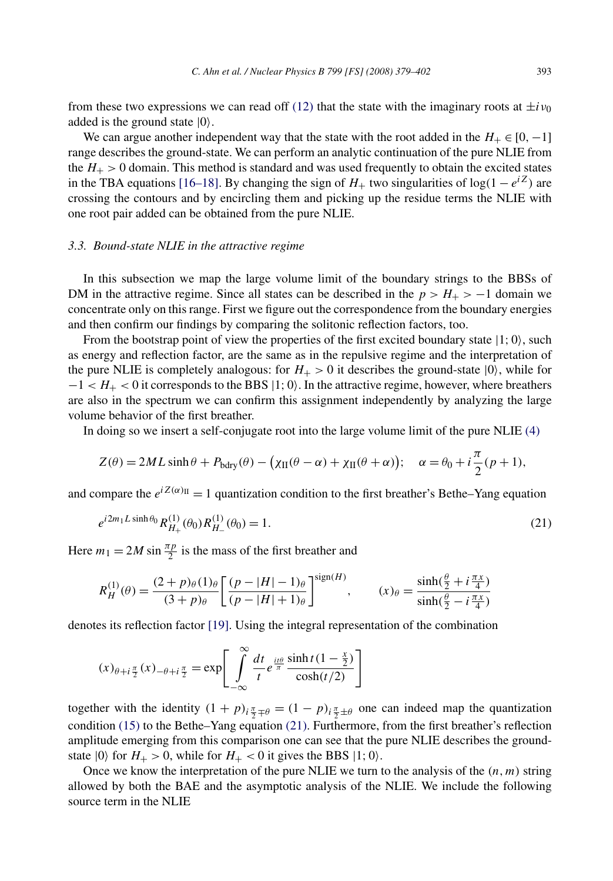from these two expressions we can read off [\(12\)](#page-7-0) that the state with the imaginary roots at  $\pm i\nu_0$ added is the ground state  $|0\rangle$ .

We can argue another independent way that the state with the root added in the  $H_+ \in [0, -1]$ range describes the ground-state. We can perform an analytic continuation of the pure NLIE from the  $H_{+} > 0$  domain. This method is standard and was used frequently to obtain the excited states in the TBA equations [\[16–18\].](#page-23-0) By changing the sign of *H*<sup>+</sup> two singularities of log*(*1 − *eiZ)* are crossing the contours and by encircling them and picking up the residue terms the NLIE with one root pair added can be obtained from the pure NLIE.

## *3.3. Bound-state NLIE in the attractive regime*

In this subsection we map the large volume limit of the boundary strings to the BBSs of DM in the attractive regime. Since all states can be described in the  $p > H_{+} > -1$  domain we concentrate only on this range. First we figure out the correspondence from the boundary energies and then confirm our findings by comparing the solitonic reflection factors, too.

From the bootstrap point of view the properties of the first excited boundary state  $|1; 0\rangle$ , such as energy and reflection factor, are the same as in the repulsive regime and the interpretation of the pure NLIE is completely analogous: for  $H_{+} > 0$  it describes the ground-state  $|0\rangle$ , while for  $-1 < H<sub>+</sub> < 0$  it corresponds to the BBS  $|1; 0\rangle$ . In the attractive regime, however, where breathers are also in the spectrum we can confirm this assignment independently by analyzing the large volume behavior of the first breather.

In doing so we insert a self-conjugate root into the large volume limit of the pure NLIE [\(4\)](#page-4-0)

$$
Z(\theta) = 2ML \sinh \theta + P_{\text{bdry}}(\theta) - (\chi_{\text{II}}(\theta - \alpha) + \chi_{\text{II}}(\theta + \alpha)); \quad \alpha = \theta_0 + i\frac{\pi}{2}(p+1),
$$

and compare the  $e^{iZ(\alpha)}$ II = 1 quantization condition to the first breather's Bethe–Yang equation

$$
e^{i2m_1L\sinh\theta_0}R_{H_+}^{(1)}(\theta_0)R_{H_-}^{(1)}(\theta_0) = 1.
$$
\n(21)

Here  $m_1 = 2M \sin \frac{\pi p}{2}$  is the mass of the first breather and

$$
R_H^{(1)}(\theta) = \frac{(2+p)_{\theta}(1)_{\theta}}{(3+p)_{\theta}} \left[ \frac{(p-|H|-1)_{\theta}}{(p-|H|+1)_{\theta}} \right]^{\text{sign}(H)}, \qquad (x)_{\theta} = \frac{\sinh(\frac{\theta}{2} + i\frac{\pi x}{4})}{\sinh(\frac{\theta}{2} - i\frac{\pi x}{4})}
$$

denotes its reflection factor [\[19\].](#page-23-0) Using the integral representation of the combination

$$
(x)_{\theta+i\frac{\pi}{2}}(x)_{-\theta+i\frac{\pi}{2}} = \exp\left[\int\limits_{-\infty}^{\infty} \frac{dt}{t} e^{\frac{it\theta}{\pi}} \frac{\sinh t (1 - \frac{x}{2})}{\cosh(t/2)}\right]
$$

together with the identity  $(1 + p)$ <sub>*i*</sub> $\frac{\pi}{2} + \theta = (1 - p)$ <sub>*i*</sub> $\frac{\pi}{2} + \theta$  one can indeed map the quantization condition [\(15\)](#page-8-0) to the Bethe–Yang equation (21). Furthermore, from the first breather's reflection amplitude emerging from this comparison one can see that the pure NLIE describes the groundstate  $|0\rangle$  for  $H_+ > 0$ , while for  $H_+ < 0$  it gives the BBS  $|1; 0\rangle$ .

Once we know the interpretation of the pure NLIE we turn to the analysis of the  $(n, m)$  string allowed by both the BAE and the asymptotic analysis of the NLIE. We include the following source term in the NLIE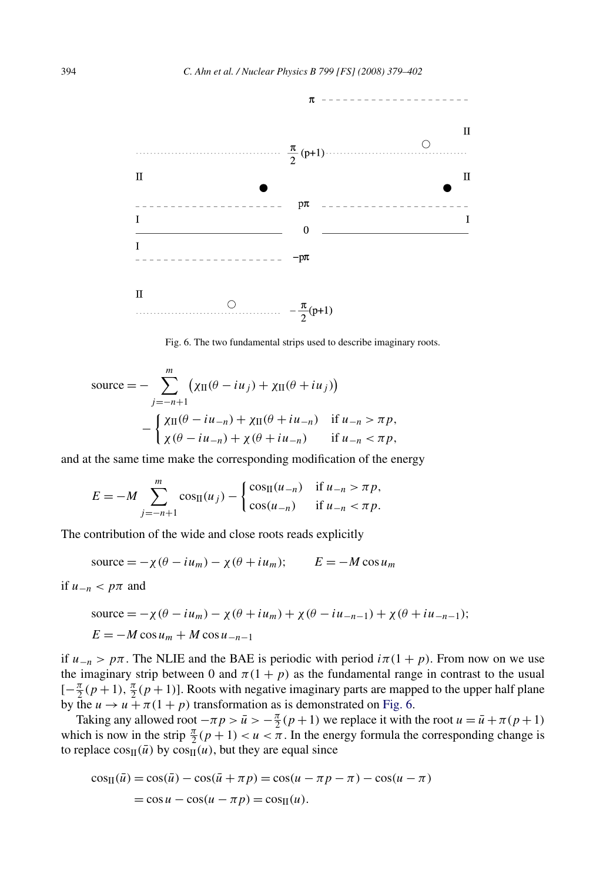

Fig. 6. The two fundamental strips used to describe imaginary roots.

$$
\text{source} = -\sum_{j=-n+1}^{m} \left( \chi_{\text{II}}(\theta - i u_j) + \chi_{\text{II}}(\theta + i u_j) \right)
$$

$$
-\begin{cases} \chi_{\text{II}}(\theta - i u_{-n}) + \chi_{\text{II}}(\theta + i u_{-n}) & \text{if } u_{-n} > \pi p, \\ \chi(\theta - i u_{-n}) + \chi(\theta + i u_{-n}) & \text{if } u_{-n} < \pi p, \end{cases}
$$

and at the same time make the corresponding modification of the energy

$$
E = -M \sum_{j=-n+1}^{m} \cos_{\Pi}(u_j) - \begin{cases} \cos_{\Pi}(u_{-n}) & \text{if } u_{-n} > \pi p, \\ \cos(u_{-n}) & \text{if } u_{-n} < \pi p. \end{cases}
$$

The contribution of the wide and close roots reads explicitly

$$
source = -\chi(\theta - i u_m) - \chi(\theta + i u_m); \qquad E = -M \cos u_m
$$

if  $u_{-n} < p\pi$  and

source = 
$$
-\chi(\theta - i u_m) - \chi(\theta + i u_m) + \chi(\theta - i u_{-n-1}) + \chi(\theta + i u_{-n-1});
$$
  
\n $E = -M \cos u_m + M \cos u_{-n-1}$ 

if  $u_{-n} > p\pi$ . The NLIE and the BAE is periodic with period  $i\pi(1 + p)$ . From now on we use the imaginary strip between 0 and  $\pi(1 + p)$  as the fundamental range in contrast to the usual  $[-\frac{\pi}{2}(p+1), \frac{\pi}{2}(p+1)]$ . Roots with negative imaginary parts are mapped to the upper half plane by the  $u \rightarrow u + \pi(1 + p)$  transformation as is demonstrated on Fig. 6.

Taking any allowed root  $-\pi p > \bar{u} > -\frac{\pi}{2}(p+1)$  we replace it with the root  $u = \bar{u} + \pi (p+1)$ which is now in the strip  $\frac{\pi}{2}(p+1) < u < \pi$ . In the energy formula the corresponding change is to replace  $cos_{\text{II}}(\bar{u})$  by  $cos_{\text{II}}(u)$ , but they are equal since

$$
\cos(\bar{u}) = \cos(\bar{u}) - \cos(\bar{u} + \pi p) = \cos(u - \pi p - \pi) - \cos(u - \pi)
$$

$$
= \cos u - \cos(u - \pi p) = \cos(\mu).
$$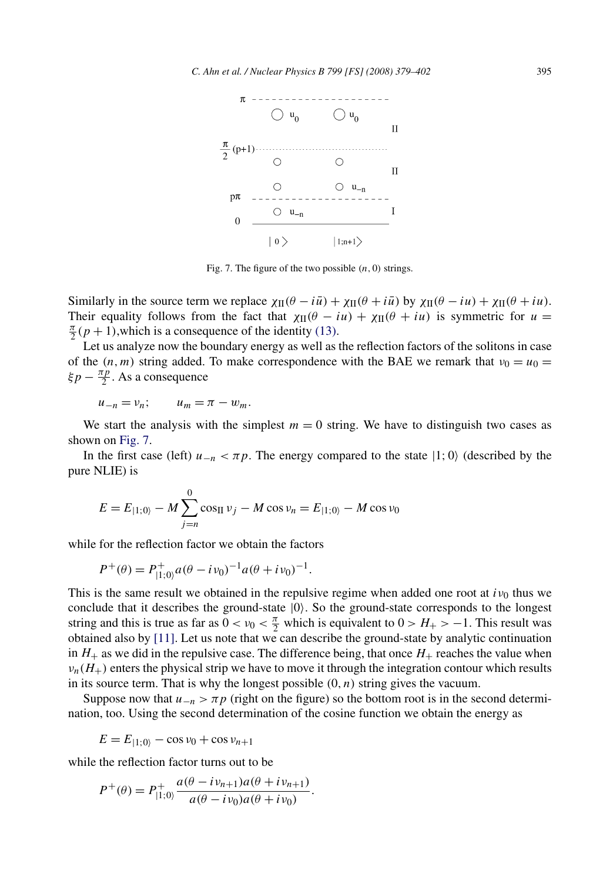

Fig. 7. The figure of the two possible  $(n, 0)$  strings.

Similarly in the source term we replace  $\chi_{\text{II}}(\theta - i\bar{u}) + \chi_{\text{II}}(\theta + i\bar{u})$  by  $\chi_{\text{II}}(\theta - iu) + \chi_{\text{II}}(\theta + iu)$ . Their equality follows from the fact that  $\chi_{\text{II}}(\theta - iu) + \chi_{\text{II}}(\theta + iu)$  is symmetric for  $u =$  $\frac{\pi}{2}(p+1)$ , which is a consequence of the identity [\(13\).](#page-7-0)

Let us analyze now the boundary energy as well as the reflection factors of the solitons in case of the  $(n, m)$  string added. To make correspondence with the BAE we remark that  $v_0 = u_0$  $\xi p - \frac{\pi p}{2}$ . As a consequence

 $u_{-n} = v_n;$   $u_m = \pi - w_m.$ 

We start the analysis with the simplest  $m = 0$  string. We have to distinguish two cases as shown on Fig. 7.

In the first case (left)  $u_{-n} < \pi p$ . The energy compared to the state  $|1; 0\rangle$  (described by the pure NLIE) is

$$
E = E_{|1;0\rangle} - M \sum_{j=n}^{0} \cos_{\text{II}} v_j - M \cos v_n = E_{|1;0\rangle} - M \cos v_0
$$

while for the reflection factor we obtain the factors

$$
P^+(\theta) = P^+_{|1,0\rangle} a(\theta - i\nu_0)^{-1} a(\theta + i\nu_0)^{-1}.
$$

This is the same result we obtained in the repulsive regime when added one root at  $i\nu_0$  thus we conclude that it describes the ground-state  $|0\rangle$ . So the ground-state corresponds to the longest string and this is true as far as  $0 < v_0 < \frac{\pi}{2}$  which is equivalent to  $0 > H_+ > -1$ . This result was obtained also by [\[11\].](#page-23-0) Let us note that we can describe the ground-state by analytic continuation in  $H_+$  as we did in the repulsive case. The difference being, that once  $H_+$  reaches the value when  $v_n(H_+)$  enters the physical strip we have to move it through the integration contour which results in its source term. That is why the longest possible *(*0*,n)* string gives the vacuum.

Suppose now that  $u_{-n} > \pi p$  (right on the figure) so the bottom root is in the second determination, too. Using the second determination of the cosine function we obtain the energy as

$$
E = E_{|1;0\rangle} - \cos \nu_0 + \cos \nu_{n+1}
$$

while the reflection factor turns out to be

$$
P^{+}(\theta) = P_{|1;0\rangle}^{+} \frac{a(\theta - i\nu_{n+1})a(\theta + i\nu_{n+1})}{a(\theta - i\nu_{0})a(\theta + i\nu_{0})}.
$$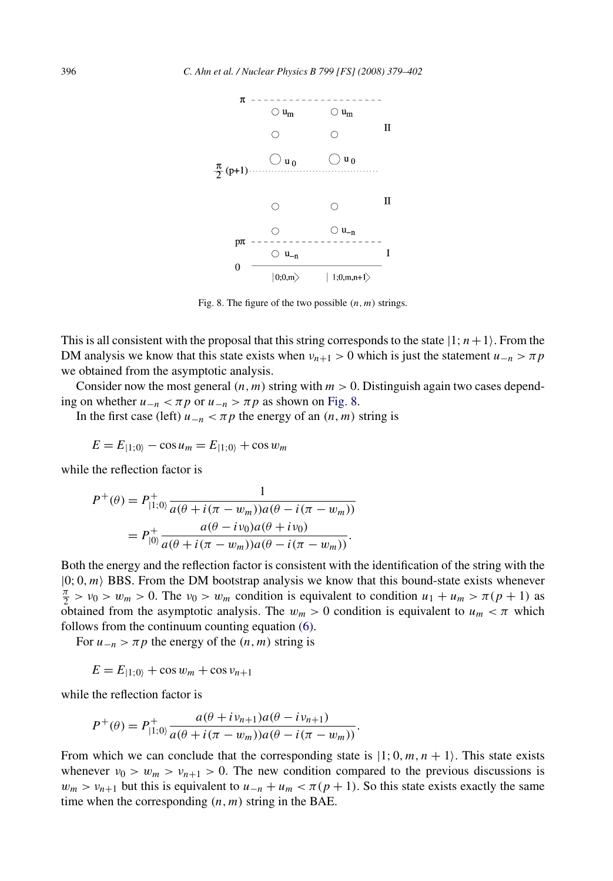

Fig. 8. The figure of the two possible  $(n, m)$  strings.

This is all consistent with the proposal that this string corresponds to the state  $|1; n+1\rangle$ . From the DM analysis we know that this state exists when  $v_{n+1} > 0$  which is just the statement  $u_{-n} > \pi p$ we obtained from the asymptotic analysis.

Consider now the most general  $(n, m)$  string with  $m > 0$ . Distinguish again two cases depending on whether  $u_{-n} < \pi p$  or  $u_{-n} > \pi p$  as shown on Fig. 8.

In the first case (left)  $u_{-n} < \pi p$  the energy of an  $(n, m)$  string is

$$
E = E_{|1;0\rangle} - \cos u_m = E_{|1;0\rangle} + \cos w_m
$$

while the reflection factor is

$$
P^{+}(\theta) = P_{|1;0}^{+} \frac{1}{a(\theta + i(\pi - w_m))a(\theta - i(\pi - w_m))}
$$
  
=  $P_{|0\rangle}^{+} \frac{a(\theta - iv_0)a(\theta + iv_0)}{a(\theta + i(\pi - w_m))a(\theta - i(\pi - w_m))}.$ 

Both the energy and the reflection factor is consistent with the identification of the string with the  $|0; 0, m\rangle$  BBS. From the DM bootstrap analysis we know that this bound-state exists whenever  $\frac{\pi}{2} > v_0 > w_m > 0$ . The  $v_0 > w_m$  condition is equivalent to condition  $u_1 + u_m > \pi (p + 1)$  as obtained from the asymptotic analysis. The  $w_m > 0$  condition is equivalent to  $u_m < \pi$  which follows from the continuum counting equation [\(6\).](#page-5-0)

For  $u_{-n} > \pi p$  the energy of the  $(n, m)$  string is

$$
E = E_{|1;0\rangle} + \cos w_m + \cos v_{n+1}
$$

while the reflection factor is

$$
P^{+}(\theta) = P_{|1;0\rangle}^{+} \frac{a(\theta + iv_{n+1})a(\theta - iv_{n+1})}{a(\theta + i(\pi - w_m))a(\theta - i(\pi - w_m))}.
$$

From which we can conclude that the corresponding state is  $|1; 0, m, n + 1\rangle$ . This state exists whenever  $v_0 > w_m > v_{n+1} > 0$ . The new condition compared to the previous discussions is  $w_m > v_{n+1}$  but this is equivalent to  $u_{-n} + u_m < \pi(p+1)$ . So this state exists exactly the same time when the corresponding *(n,m)* string in the BAE.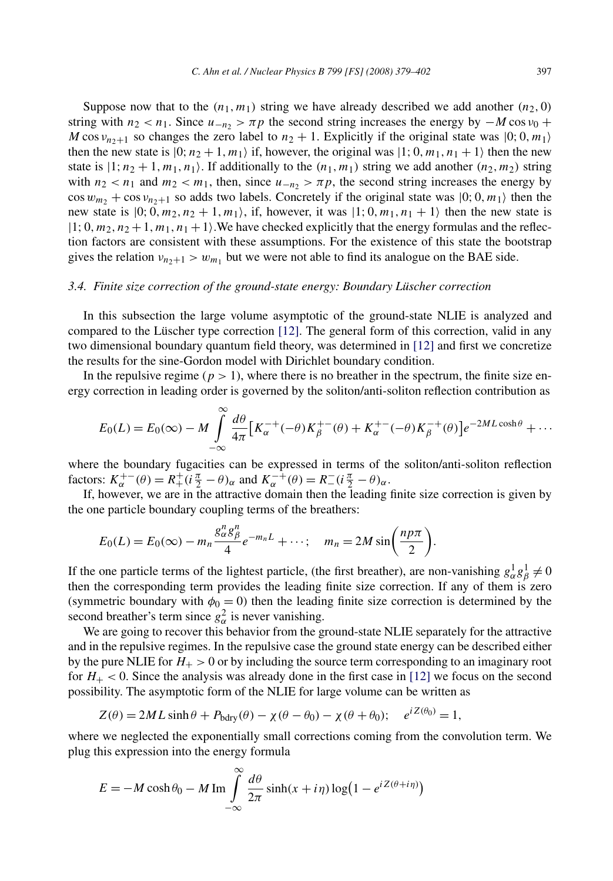Suppose now that to the  $(n_1, m_1)$  string we have already described we add another  $(n_2, 0)$ string with  $n_2 < n_1$ . Since  $u_{-n_2} > \pi p$  the second string increases the energy by  $-M \cos v_0 +$ *M* cos  $v_{n+1}$  so changes the zero label to  $n_2 + 1$ . Explicitly if the original state was  $|0; 0, m_1\rangle$ then the new state is  $|0; n_2 + 1, m_1 \rangle$  if, however, the original was  $|1; 0, m_1, n_1 + 1 \rangle$  then the new state is  $|1; n_2 + 1, m_1, n_1\rangle$ . If additionally to the  $(n_1, m_1)$  string we add another  $(n_2, m_2)$  string with  $n_2 < n_1$  and  $m_2 < m_1$ , then, since  $u_{-n_2} > \pi p$ , the second string increases the energy by  $\cos w_{m_2} + \cos v_{n_2+1}$  so adds two labels. Concretely if the original state was  $|0; 0, m_1\rangle$  then the new state is  $|0; 0, m_2, n_2 + 1, m_1\rangle$ , if, however, it was  $|1; 0, m_1, n_1 + 1\rangle$  then the new state is  $|1; 0, m_2, n_2 + 1, m_1, n_1 + 1$ . We have checked explicitly that the energy formulas and the reflection factors are consistent with these assumptions. For the existence of this state the bootstrap gives the relation  $v_{n+1} > w_{m_1}$  but we were not able to find its analogue on the BAE side.

## *3.4. Finite size correction of the ground-state energy: Boundary Lüscher correction*

In this subsection the large volume asymptotic of the ground-state NLIE is analyzed and compared to the Lüscher type correction [\[12\].](#page-23-0) The general form of this correction, valid in any two dimensional boundary quantum field theory, was determined in [\[12\]](#page-23-0) and first we concretize the results for the sine-Gordon model with Dirichlet boundary condition.

In the repulsive regime ( $p > 1$ ), where there is no breather in the spectrum, the finite size energy correction in leading order is governed by the soliton/anti-soliton reflection contribution as

$$
E_0(L) = E_0(\infty) - M \int_{-\infty}^{\infty} \frac{d\theta}{4\pi} \left[ K_\alpha^{-+}(-\theta) K_\beta^{+-}(\theta) + K_\alpha^{+-}(-\theta) K_\beta^{-+}(\theta) \right] e^{-2ML \cosh \theta} + \cdots
$$

where the boundary fugacities can be expressed in terms of the soliton/anti-soliton reflection  $factors: K_{\alpha}^{+-}(\theta) = R_{+}^{+}(\tilde{i}\frac{\pi}{2} - \theta)_{\alpha} \text{ and } K_{\alpha}^{-+}(\theta) = R_{-}^{-}(\tilde{i}\frac{\pi}{2} - \theta)_{\alpha}.$ 

If, however, we are in the attractive domain then the leading finite size correction is given by the one particle boundary coupling terms of the breathers:

$$
E_0(L) = E_0(\infty) - m_n \frac{g_\alpha^n g_\beta^n}{4} e^{-m_n L} + \cdots; \quad m_n = 2M \sin\left(\frac{n p \pi}{2}\right).
$$

If the one particle terms of the lightest particle, (the first breather), are non-vanishing  $g_\alpha^1 g_\beta^1 \neq 0$ then the corresponding term provides the leading finite size correction. If any of them is zero (symmetric boundary with  $\phi_0 = 0$ ) then the leading finite size correction is determined by the second breather's term since  $g_\alpha^2$  is never vanishing.

We are going to recover this behavior from the ground-state NLIE separately for the attractive and in the repulsive regimes. In the repulsive case the ground state energy can be described either by the pure NLIE for  $H_+$  > 0 or by including the source term corresponding to an imaginary root for  $H_+ < 0$ . Since the analysis was already done in the first case in [\[12\]](#page-23-0) we focus on the second possibility. The asymptotic form of the NLIE for large volume can be written as

$$
Z(\theta) = 2ML \sinh \theta + P_{\text{bdry}}(\theta) - \chi(\theta - \theta_0) - \chi(\theta + \theta_0); \quad e^{iZ(\theta_0)} = 1,
$$

where we neglected the exponentially small corrections coming from the convolution term. We plug this expression into the energy formula

$$
E = -M \cosh \theta_0 - M \operatorname{Im} \int_{-\infty}^{\infty} \frac{d\theta}{2\pi} \sinh(x + i\eta) \log (1 - e^{i Z(\theta + i\eta)})
$$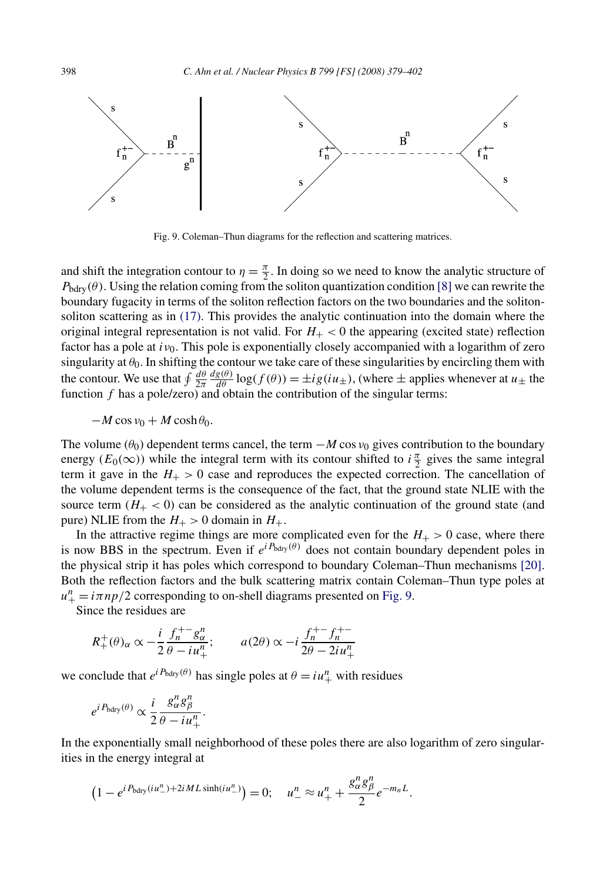

Fig. 9. Coleman–Thun diagrams for the reflection and scattering matrices.

and shift the integration contour to  $\eta = \frac{\pi}{2}$ . In doing so we need to know the analytic structure of  $P_{\text{bdry}}(\theta)$ . Using the relation coming from the soliton quantization condition [\[8\]](#page-23-0) we can rewrite the boundary fugacity in terms of the soliton reflection factors on the two boundaries and the solitonsoliton scattering as in [\(17\).](#page-8-0) This provides the analytic continuation into the domain where the original integral representation is not valid. For  $H<sub>+</sub> < 0$  the appearing (excited state) reflection factor has a pole at *iν*0. This pole is exponentially closely accompanied with a logarithm of zero singularity at  $\theta_0$ . In shifting the contour we take care of these singularities by encircling them with the contour. We use that  $\oint \frac{d\theta}{2\pi}$  $\frac{dg(\theta)}{d\theta}$  log( $f(\theta)$ ) =  $\pm ig(iu_{\pm})$ , (where  $\pm$  applies whenever at  $u_{\pm}$  the function *f* has a pole/zero) and obtain the contribution of the singular terms:

 $-M \cos v_0 + M \cosh \theta_0$ .

The volume ( $\theta_0$ ) dependent terms cancel, the term  $-M \cos v_0$  gives contribution to the boundary energy ( $E_0(\infty)$ ) while the integral term with its contour shifted to  $i\frac{\pi}{2}$  gives the same integral term it gave in the  $H_{+} > 0$  case and reproduces the expected correction. The cancellation of the volume dependent terms is the consequence of the fact, that the ground state NLIE with the source term  $(H_{+} < 0)$  can be considered as the analytic continuation of the ground state (and pure) NLIE from the  $H_+ > 0$  domain in  $H_+$ .

In the attractive regime things are more complicated even for the  $H_{+} > 0$  case, where there is now BBS in the spectrum. Even if  $e^{iP_{\text{bdry}}(\theta)}$  does not contain boundary dependent poles in the physical strip it has poles which correspond to boundary Coleman–Thun mechanisms [\[20\].](#page-23-0) Both the reflection factors and the bulk scattering matrix contain Coleman–Thun type poles at  $u_{+}^{n} = i \pi np/2$  corresponding to on-shell diagrams presented on Fig. 9.

Since the residues are

$$
R_+^+(\theta)_\alpha \propto -\frac{i}{2} \frac{f_n^{+-} g_\alpha^n}{\theta - i u_+^n}; \qquad a(2\theta) \propto -i \frac{f_n^{+-} f_n^{+-}}{2\theta - 2i u_+^n}
$$

we conclude that  $e^{iP_{\text{bdry}}(\theta)}$  has single poles at  $\theta = iu_+^n$  with residues

$$
e^{i P_{\text{bdry}}(\theta)} \propto \frac{i}{2} \frac{g_{\alpha}^n g_{\beta}^n}{\theta - i u_{+}^n}.
$$

In the exponentially small neighborhood of these poles there are also logarithm of zero singularities in the energy integral at

$$
(1 - e^{i P_{\text{bdry}}(iu''_-) + 2i ML \sinh(iu''_-)}) = 0; \quad u''_- \approx u''_+ + \frac{g_\alpha^n g_\beta^n}{2} e^{-m_n L}.
$$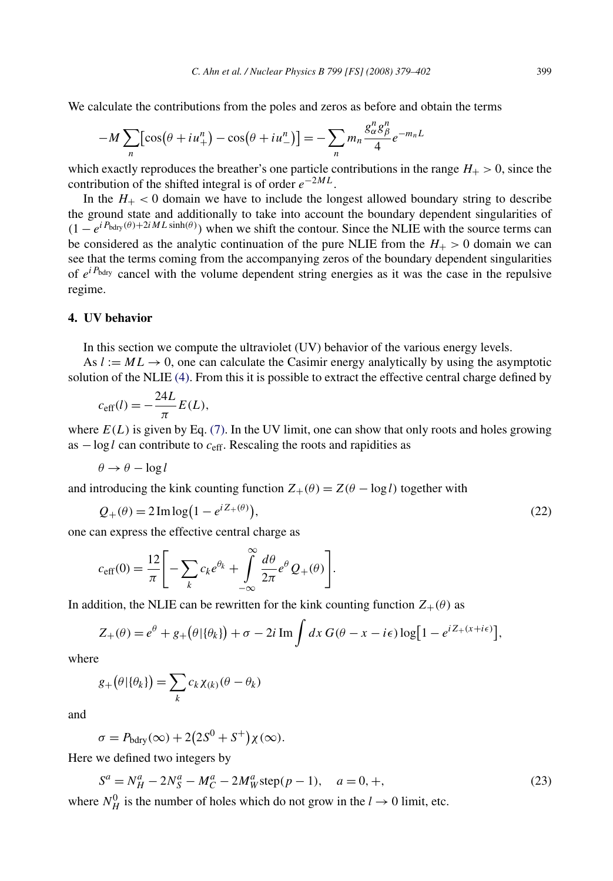<span id="page-20-0"></span>We calculate the contributions from the poles and zeros as before and obtain the terms

$$
-M\sum_{n} \left[\cos\left(\theta + i u_+^n\right) - \cos\left(\theta + i u_-^n\right)\right] = -\sum_{n} m_n \frac{g_\alpha^n g_\beta^n}{4} e^{-m_n L}
$$

which exactly reproduces the breather's one particle contributions in the range  $H_{+} > 0$ , since the contribution of the shifted integral is of order *e*−2*ML*.

In the  $H_{+}$  < 0 domain we have to include the longest allowed boundary string to describe the ground state and additionally to take into account the boundary dependent singularities of  $(1 - e^{iP_{\text{bdry}}(\theta) + 2iML\sinh(\theta)})$  when we shift the contour. Since the NLIE with the source terms can be considered as the analytic continuation of the pure NLIE from the  $H_{+} > 0$  domain we can see that the terms coming from the accompanying zeros of the boundary dependent singularities of  $e^{iP_{\text{bdry}}}$  cancel with the volume dependent string energies as it was the case in the repulsive regime.

## **4. UV behavior**

In this section we compute the ultraviolet (UV) behavior of the various energy levels.

As  $l := ML \rightarrow 0$ , one can calculate the Casimir energy analytically by using the asymptotic solution of the NLIE [\(4\).](#page-4-0) From this it is possible to extract the effective central charge defined by

$$
c_{\text{eff}}(l) = -\frac{24L}{\pi}E(L),
$$

where  $E(L)$  is given by Eq. [\(7\).](#page-5-0) In the UV limit, one can show that only roots and holes growing as −log *l* can contribute to *c*eff. Rescaling the roots and rapidities as

$$
\theta \to \theta - \log l
$$

and introducing the kink counting function  $Z_+(\theta) = Z(\theta - \log l)$  together with

$$
Q_{+}(\theta) = 2 \operatorname{Im} \log \left( 1 - e^{i Z_{+}(\theta)} \right),\tag{22}
$$

one can express the effective central charge as

$$
c_{\text{eff}}(0) = \frac{12}{\pi} \Bigg[ -\sum_{k} c_{k} e^{\theta_{k}} + \int_{-\infty}^{\infty} \frac{d\theta}{2\pi} e^{\theta} Q_{+}(\theta) \Bigg].
$$

In addition, the NLIE can be rewritten for the kink counting function  $Z_+(\theta)$  as

$$
Z_{+}(\theta) = e^{\theta} + g_{+}(\theta|\{\theta_{k}\}) + \sigma - 2i \operatorname{Im} \int dx G(\theta - x - i\epsilon) \log[1 - e^{iZ_{+}(x + i\epsilon)}],
$$

where

$$
g_{+}(\theta|\{\theta_k\}) = \sum_{k} c_k \chi_{(k)}(\theta - \theta_k)
$$

and

$$
\sigma = P_{\text{bdry}}(\infty) + 2(2S^0 + S^+) \chi(\infty).
$$

Here we defined two integers by

$$
Sa = NHa - 2NSa - MCa - 2MWa \text{step}(p - 1), \quad a = 0, +,
$$
 (23)

where  $N_H^0$  is the number of holes which do not grow in the  $l \to 0$  limit, etc.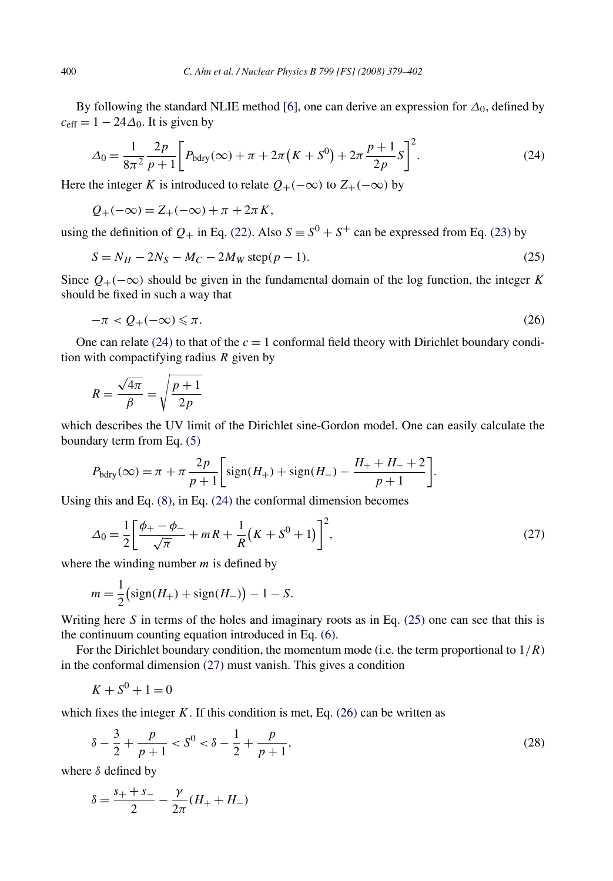By following the standard NLIE method [\[6\],](#page-23-0) one can derive an expression for  $\Delta_0$ , defined by  $c_{\text{eff}} = 1 - 24\Delta_0$ . It is given by

$$
\Delta_0 = \frac{1}{8\pi^2} \frac{2p}{p+1} \bigg[ P_{\text{bdry}}(\infty) + \pi + 2\pi (K + S^0) + 2\pi \frac{p+1}{2p} S \bigg]^2. \tag{24}
$$

Here the integer *K* is introduced to relate  $Q_{+}(-\infty)$  to  $Z_{+}(-\infty)$  by

$$
Q_{+}(-\infty) = Z_{+}(-\infty) + \pi + 2\pi K,
$$

using the definition of  $Q_+$  in Eq. [\(22\).](#page-20-0) Also  $S \equiv S^0 + S^+$  can be expressed from Eq. [\(23\)](#page-20-0) by

$$
S = N_H - 2N_S - M_C - 2M_W \text{step}(p - 1). \tag{25}
$$

Since  $Q_{+}(-\infty)$  should be given in the fundamental domain of the log function, the integer *K* should be fixed in such a way that

$$
-\pi < Q_{+}(-\infty) \leqslant \pi. \tag{26}
$$

One can relate  $(24)$  to that of the  $c = 1$  conformal field theory with Dirichlet boundary condition with compactifying radius *R* given by

$$
R = \frac{\sqrt{4\pi}}{\beta} = \sqrt{\frac{p+1}{2p}}
$$

which describes the UV limit of the Dirichlet sine-Gordon model. One can easily calculate the boundary term from Eq. [\(5\)](#page-4-0)

$$
P_{\text{bdry}}(\infty) = \pi + \pi \frac{2p}{p+1} \bigg[ \text{sign}(H_+) + \text{sign}(H_-) - \frac{H_+ + H_- + 2}{p+1} \bigg].
$$

Using this and Eq. [\(8\),](#page-6-0) in Eq. (24) the conformal dimension becomes

$$
\Delta_0 = \frac{1}{2} \left[ \frac{\phi_+ - \phi_-}{\sqrt{\pi}} + mR + \frac{1}{R} (K + S^0 + 1) \right]^2, \tag{27}
$$

where the winding number *m* is defined by

$$
m = \frac{1}{2} \left( \text{sign}(H_+) + \text{sign}(H_-) \right) - 1 - S.
$$

Writing here *S* in terms of the holes and imaginary roots as in Eq. (25) one can see that this is the continuum counting equation introduced in Eq. [\(6\).](#page-5-0)

For the Dirichlet boundary condition, the momentum mode (i.e. the term proportional to  $1/R$ ) in the conformal dimension (27) must vanish. This gives a condition

$$
K + S^0 + 1 = 0
$$

which fixes the integer  $K$ . If this condition is met, Eq.  $(26)$  can be written as

$$
\delta - \frac{3}{2} + \frac{p}{p+1} < S^0 < \delta - \frac{1}{2} + \frac{p}{p+1},\tag{28}
$$

where *δ* defined by

$$
\delta = \frac{s_+ + s_-}{2} - \frac{\gamma}{2\pi} (H_+ + H_-)
$$

<span id="page-21-0"></span>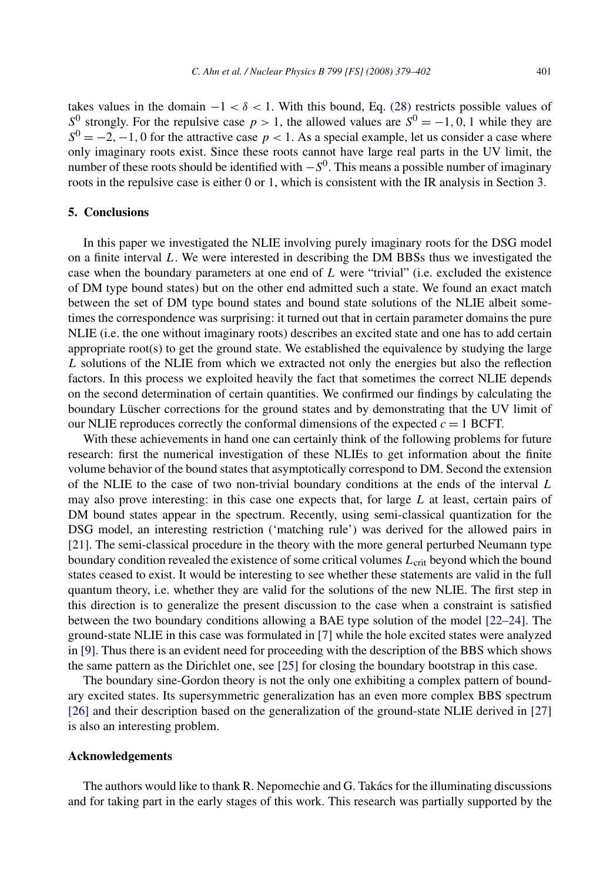<span id="page-22-0"></span>takes values in the domain  $-1 < \delta < 1$ . With this bound, Eq. [\(28\)](#page-21-0) restricts possible values of *S*<sup>0</sup> strongly. For the repulsive case  $p > 1$ , the allowed values are  $S^0 = -1, 0, 1$  while they are  $S^{0} = -2$ , −1, 0 for the attractive case *p* < 1. As a special example, let us consider a case where only imaginary roots exist. Since these roots cannot have large real parts in the UV limit, the number of these roots should be identified with  $-S<sup>0</sup>$ . This means a possible number of imaginary roots in the repulsive case is either 0 or 1, which is consistent with the IR analysis in Section [3.](#page-7-0)

# **5. Conclusions**

In this paper we investigated the NLIE involving purely imaginary roots for the DSG model on a finite interval *L*. We were interested in describing the DM BBSs thus we investigated the case when the boundary parameters at one end of *L* were "trivial" (i.e. excluded the existence of DM type bound states) but on the other end admitted such a state. We found an exact match between the set of DM type bound states and bound state solutions of the NLIE albeit sometimes the correspondence was surprising: it turned out that in certain parameter domains the pure NLIE (i.e. the one without imaginary roots) describes an excited state and one has to add certain appropriate root(s) to get the ground state. We established the equivalence by studying the large *L* solutions of the NLIE from which we extracted not only the energies but also the reflection factors. In this process we exploited heavily the fact that sometimes the correct NLIE depends on the second determination of certain quantities. We confirmed our findings by calculating the boundary Lüscher corrections for the ground states and by demonstrating that the UV limit of our NLIE reproduces correctly the conformal dimensions of the expected  $c = 1$  BCFT.

With these achievements in hand one can certainly think of the following problems for future research: first the numerical investigation of these NLIEs to get information about the finite volume behavior of the bound states that asymptotically correspond to DM. Second the extension of the NLIE to the case of two non-trivial boundary conditions at the ends of the interval *L* may also prove interesting: in this case one expects that, for large *L* at least, certain pairs of DM bound states appear in the spectrum. Recently, using semi-classical quantization for the DSG model, an interesting restriction ('matching rule') was derived for the allowed pairs in [\[21\].](#page-23-0) The semi-classical procedure in the theory with the more general perturbed Neumann type boundary condition revealed the existence of some critical volumes *L*crit beyond which the bound states ceased to exist. It would be interesting to see whether these statements are valid in the full quantum theory, i.e. whether they are valid for the solutions of the new NLIE. The first step in this direction is to generalize the present discussion to the case when a constraint is satisfied between the two boundary conditions allowing a BAE type solution of the model [\[22–24\].](#page-23-0) The ground-state NLIE in this case was formulated in [\[7\]](#page-23-0) while the hole excited states were analyzed in [\[9\].](#page-23-0) Thus there is an evident need for proceeding with the description of the BBS which shows the same pattern as the Dirichlet one, see [\[25\]](#page-23-0) for closing the boundary bootstrap in this case.

The boundary sine-Gordon theory is not the only one exhibiting a complex pattern of boundary excited states. Its supersymmetric generalization has an even more complex BBS spectrum [\[26\]](#page-23-0) and their description based on the generalization of the ground-state NLIE derived in [\[27\]](#page-23-0) is also an interesting problem.

### **Acknowledgements**

The authors would like to thank R. Nepomechie and G. Takács for the illuminating discussions and for taking part in the early stages of this work. This research was partially supported by the